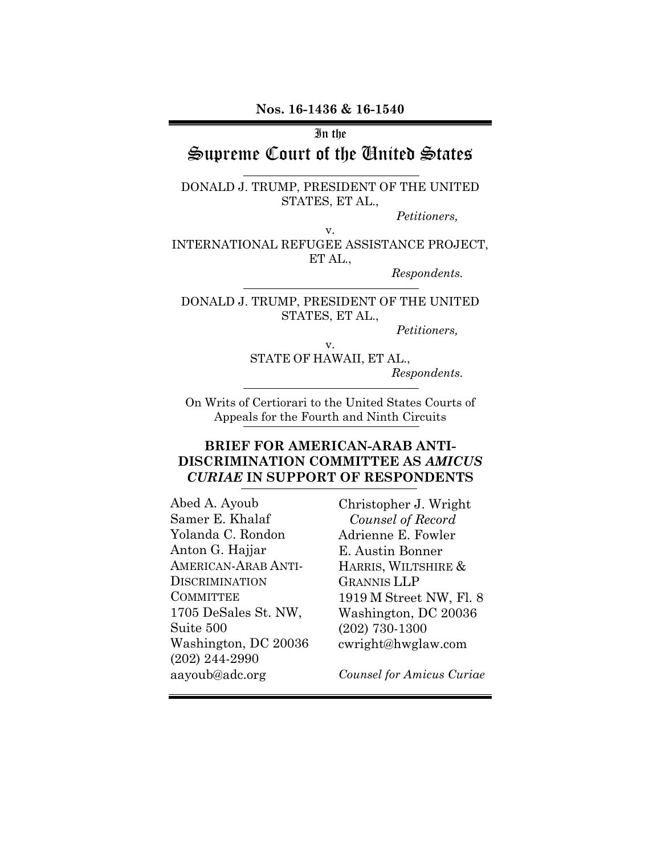**Nos. 16-1436 & 16-1540**

In the

# Supreme Court of the United States

DONALD J. TRUMP, PRESIDENT OF THE UNITED STATES, ET AL.,

*Petitioners,* 

v. INTERNATIONAL REFUGEE ASSISTANCE PROJECT, ET AL.,

*Respondents.* 

DONALD J. TRUMP, PRESIDENT OF THE UNITED STATES, ET AL.,

v.

*Petitioners,* 

STATE OF HAWAII, ET AL., *Respondents.*

On Writs of Certiorari to the United States Courts of Appeals for the Fourth and Ninth Circuits

### **BRIEF FOR AMERICAN-ARAB ANTI-DISCRIMINATION COMMITTEE AS** *AMICUS CURIAE* **IN SUPPORT OF RESPONDENTS**

Abed A. Ayoub Samer E. Khalaf Yolanda C. Rondon Anton G. Hajjar AMERICAN-ARAB ANTI-DISCRIMINATION **COMMITTEE** 1705 DeSales St. NW, Suite 500 Washington, DC 20036 (202) 244-2990 aayoub@adc.org

Christopher J. Wright *Counsel of Record*  Adrienne E. Fowler E. Austin Bonner HARRIS, WILTSHIRE & GRANNIS LLP 1919 M Street NW, Fl. 8 Washington, DC 20036 (202) 730-1300 cwright@hwglaw.com

*Counsel for Amicus Curiae*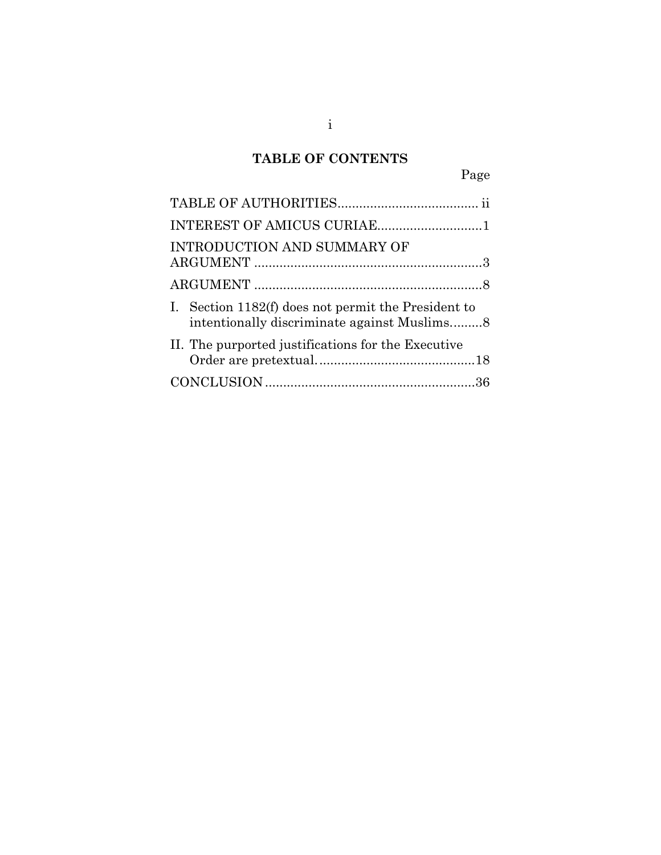# **TABLE OF CONTENTS**

| INTRODUCTION AND SUMMARY OF                                                                        |  |
|----------------------------------------------------------------------------------------------------|--|
|                                                                                                    |  |
| I. Section 1182(f) does not permit the President to<br>intentionally discriminate against Muslims8 |  |
| II. The purported justifications for the Executive                                                 |  |
|                                                                                                    |  |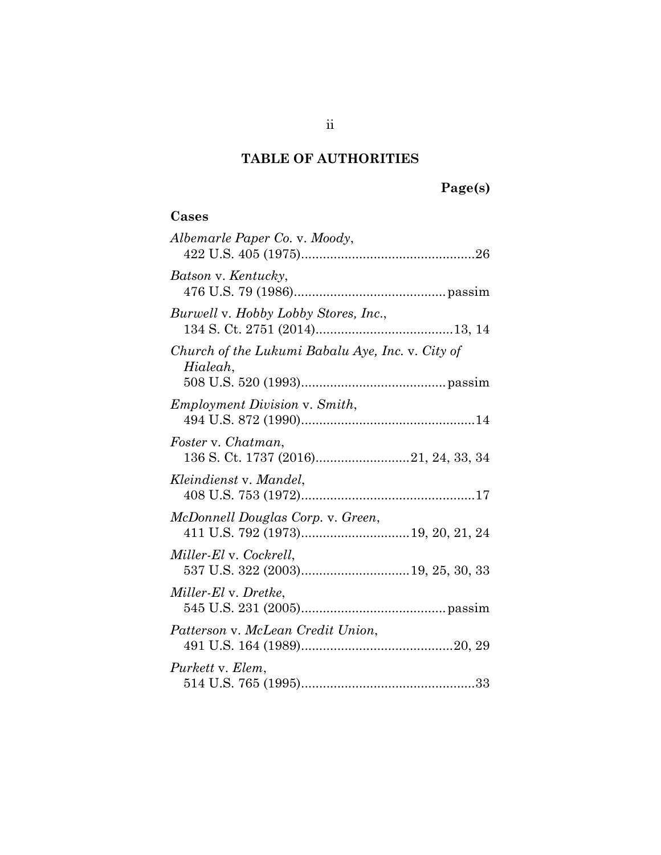# **TABLE OF AUTHORITIES**

## **Cases**

| Albemarle Paper Co. v. Moody,                                |
|--------------------------------------------------------------|
| Batson v. Kentucky,                                          |
| Burwell v. Hobby Lobby Stores, Inc.,                         |
| Church of the Lukumi Babalu Aye, Inc. v. City of<br>Hialeah, |
| <i>Employment Division v. Smith,</i>                         |
| Foster v. Chatman,                                           |
| Kleindienst v. Mandel,                                       |
|                                                              |
| McDonnell Douglas Corp. v. Green,                            |
| Miller-El v. Cockrell,                                       |
| Miller-El v. Dretke,                                         |
| Patterson v. McLean Credit Union,                            |
| Purkett v. Elem.                                             |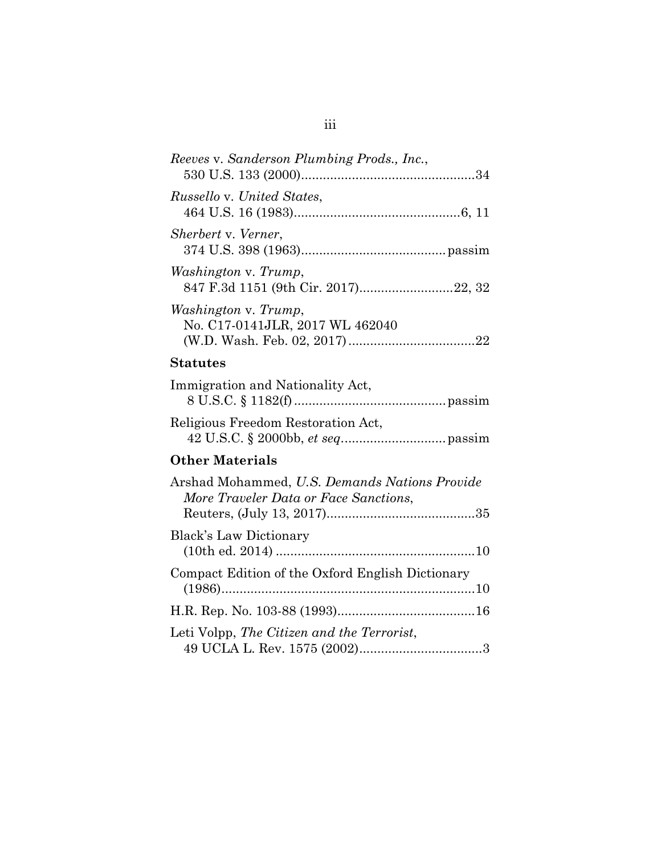| Reeves v. Sanderson Plumbing Prods., Inc.,                                             |
|----------------------------------------------------------------------------------------|
| <i>Russello v. United States,</i>                                                      |
| Sherbert v. Verner,                                                                    |
| Washington v. Trump,<br>847 F.3d 1151 (9th Cir. 2017)22, 32                            |
| Washington v. Trump,<br>No. C17-0141JLR, 2017 WL 462040                                |
| <b>Statutes</b>                                                                        |
| Immigration and Nationality Act,                                                       |
| Religious Freedom Restoration Act,                                                     |
| <b>Other Materials</b>                                                                 |
| Arshad Mohammed, U.S. Demands Nations Provide<br>More Traveler Data or Face Sanctions, |
| <b>Black's Law Dictionary</b>                                                          |
| Compact Edition of the Oxford English Dictionary                                       |
|                                                                                        |

| Leti Volpp, The Citizen and the Terrorist, |  |
|--------------------------------------------|--|
|                                            |  |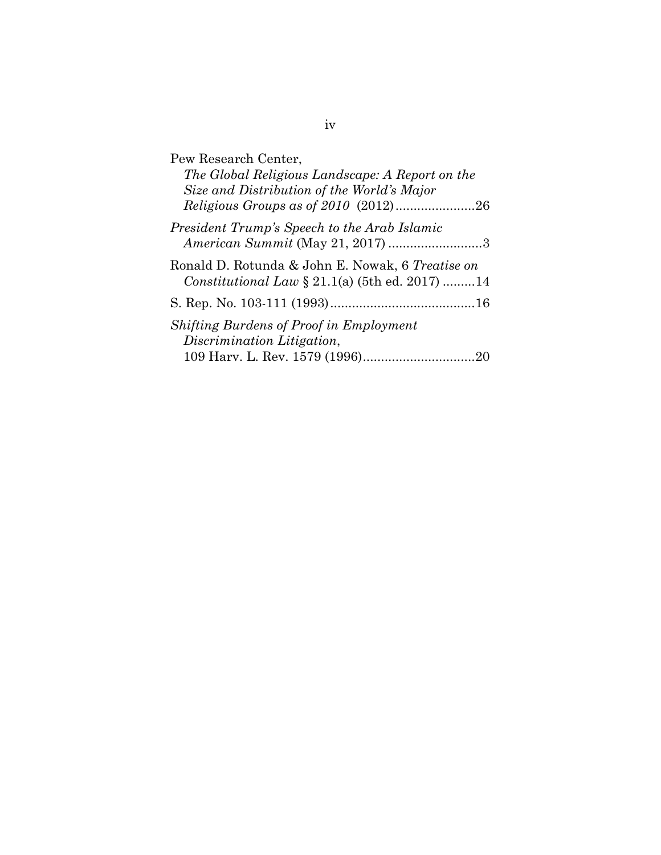| Pew Research Center,                                                                                         |
|--------------------------------------------------------------------------------------------------------------|
| The Global Religious Landscape: A Report on the                                                              |
| Size and Distribution of the World's Major                                                                   |
|                                                                                                              |
| President Trump's Speech to the Arab Islamic                                                                 |
|                                                                                                              |
| Ronald D. Rotunda & John E. Nowak, 6 Treatise on<br><i>Constitutional Law</i> $\S 21.1(a)$ (5th ed. 2017) 14 |
|                                                                                                              |
|                                                                                                              |
| <i>Shifting Burdens of Proof in Employment</i>                                                               |
| Discrimination Litigation,                                                                                   |
|                                                                                                              |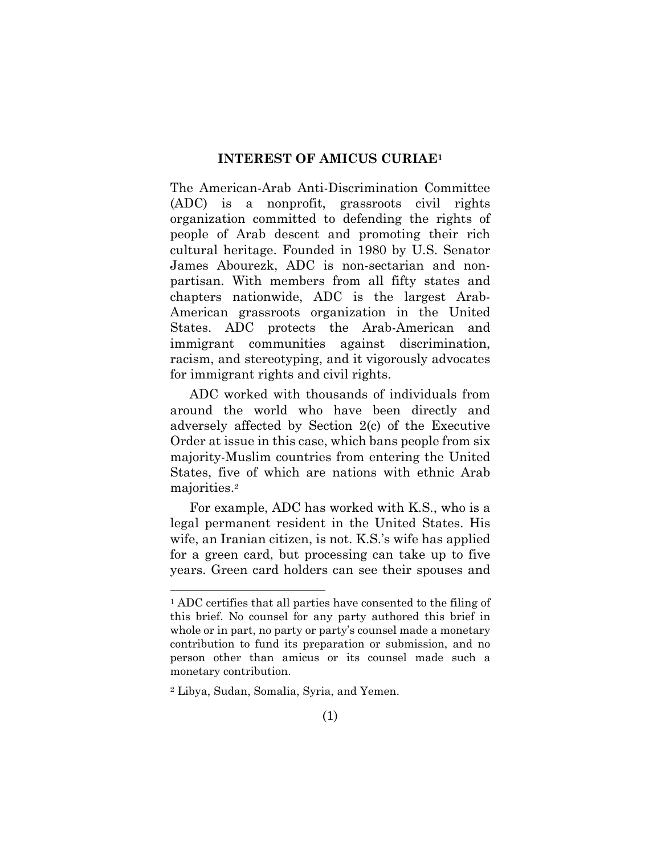#### **INTEREST OF AMICUS CURIAE1**

The American-Arab Anti-Discrimination Committee (ADC) is a nonprofit, grassroots civil rights organization committed to defending the rights of people of Arab descent and promoting their rich cultural heritage. Founded in 1980 by U.S. Senator James Abourezk, ADC is non-sectarian and nonpartisan. With members from all fifty states and chapters nationwide, ADC is the largest Arab-American grassroots organization in the United States. ADC protects the Arab-American and immigrant communities against discrimination, racism, and stereotyping, and it vigorously advocates for immigrant rights and civil rights.

ADC worked with thousands of individuals from around the world who have been directly and adversely affected by Section 2(c) of the Executive Order at issue in this case, which bans people from six majority-Muslim countries from entering the United States, five of which are nations with ethnic Arab majorities.<sup>2</sup>

For example, ADC has worked with K.S., who is a legal permanent resident in the United States. His wife, an Iranian citizen, is not. K.S.'s wife has applied for a green card, but processing can take up to five years. Green card holders can see their spouses and

<sup>1</sup> ADC certifies that all parties have consented to the filing of this brief. No counsel for any party authored this brief in whole or in part, no party or party's counsel made a monetary contribution to fund its preparation or submission, and no person other than amicus or its counsel made such a monetary contribution.

<sup>2</sup> Libya, Sudan, Somalia, Syria, and Yemen.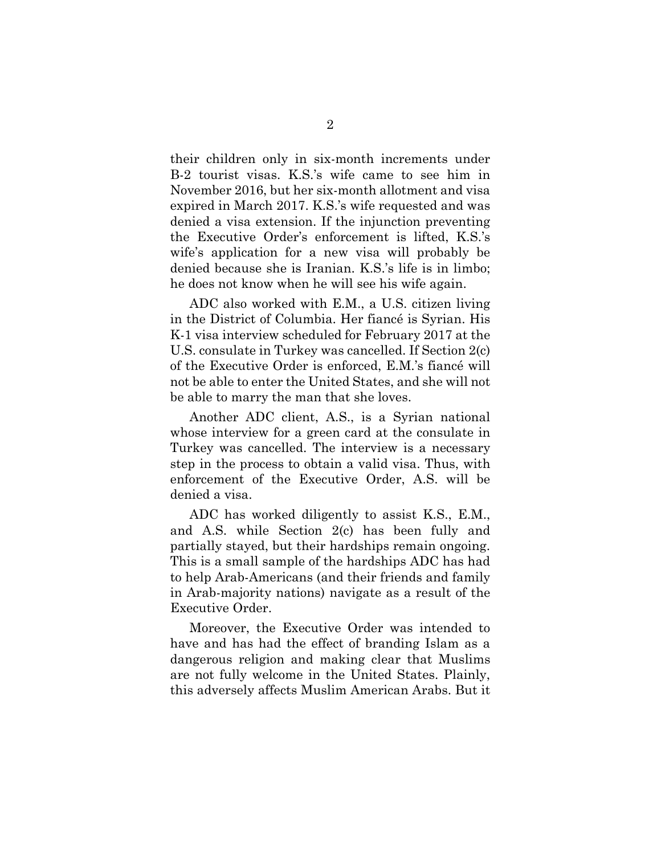their children only in six-month increments under B-2 tourist visas. K.S.'s wife came to see him in November 2016, but her six-month allotment and visa expired in March 2017. K.S.'s wife requested and was denied a visa extension. If the injunction preventing the Executive Order's enforcement is lifted, K.S.'s wife's application for a new visa will probably be denied because she is Iranian. K.S.'s life is in limbo; he does not know when he will see his wife again.

ADC also worked with E.M., a U.S. citizen living in the District of Columbia. Her fiancé is Syrian. His K-1 visa interview scheduled for February 2017 at the U.S. consulate in Turkey was cancelled. If Section 2(c) of the Executive Order is enforced, E.M.'s fiancé will not be able to enter the United States, and she will not be able to marry the man that she loves.

Another ADC client, A.S., is a Syrian national whose interview for a green card at the consulate in Turkey was cancelled. The interview is a necessary step in the process to obtain a valid visa. Thus, with enforcement of the Executive Order, A.S. will be denied a visa.

ADC has worked diligently to assist K.S., E.M., and A.S. while Section 2(c) has been fully and partially stayed, but their hardships remain ongoing. This is a small sample of the hardships ADC has had to help Arab-Americans (and their friends and family in Arab-majority nations) navigate as a result of the Executive Order.

Moreover, the Executive Order was intended to have and has had the effect of branding Islam as a dangerous religion and making clear that Muslims are not fully welcome in the United States. Plainly, this adversely affects Muslim American Arabs. But it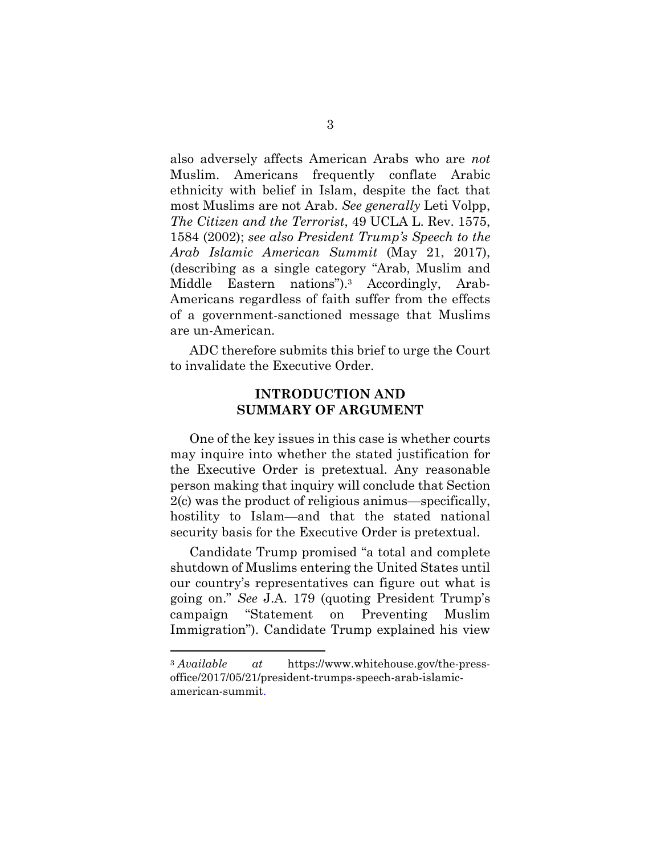also adversely affects American Arabs who are *not* Muslim. Americans frequently conflate Arabic ethnicity with belief in Islam, despite the fact that most Muslims are not Arab. *See generally* Leti Volpp, *The Citizen and the Terrorist*, 49 UCLA L. Rev. 1575, 1584 (2002); *see also President Trump's Speech to the Arab Islamic American Summit* (May 21, 2017), (describing as a single category "Arab, Muslim and Middle Eastern nations").3 Accordingly, Arab-Americans regardless of faith suffer from the effects of a government-sanctioned message that Muslims are un-American.

ADC therefore submits this brief to urge the Court to invalidate the Executive Order.

### **INTRODUCTION AND SUMMARY OF ARGUMENT**

One of the key issues in this case is whether courts may inquire into whether the stated justification for the Executive Order is pretextual. Any reasonable person making that inquiry will conclude that Section 2(c) was the product of religious animus—specifically, hostility to Islam—and that the stated national security basis for the Executive Order is pretextual.

Candidate Trump promised "a total and complete shutdown of Muslims entering the United States until our country's representatives can figure out what is going on." *See* J.A. 179 (quoting President Trump's campaign "Statement on Preventing Muslim Immigration"). Candidate Trump explained his view

<sup>3</sup> *Available at* https://www.whitehouse.gov/the-pressoffice/2017/05/21/president-trumps-speech-arab-islamicamerican-summit.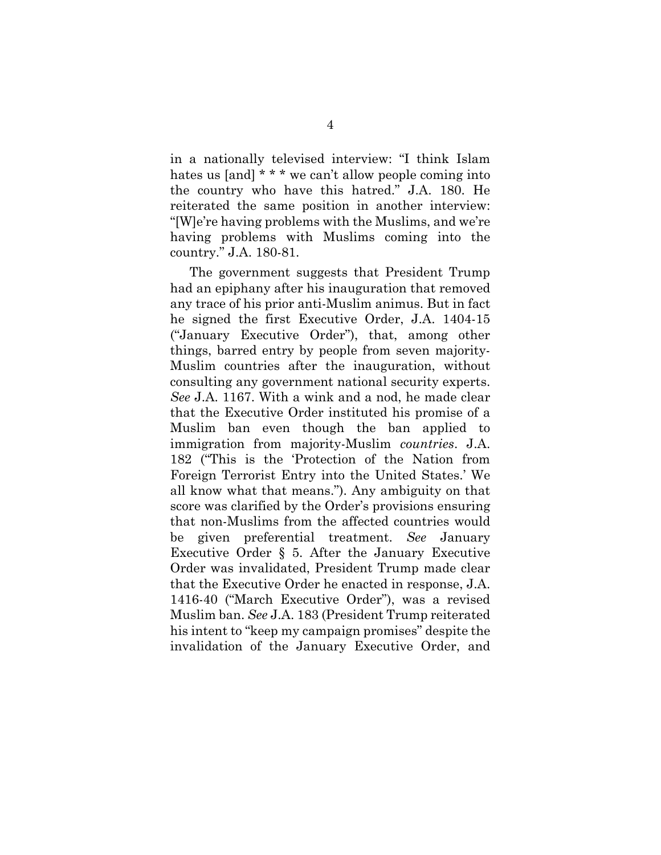in a nationally televised interview: "I think Islam hates us [and] \* \* \* we can't allow people coming into the country who have this hatred." J.A. 180. He reiterated the same position in another interview: "[W]e're having problems with the Muslims, and we're having problems with Muslims coming into the country." J.A. 180-81.

The government suggests that President Trump had an epiphany after his inauguration that removed any trace of his prior anti-Muslim animus. But in fact he signed the first Executive Order, J.A. 1404-15 ("January Executive Order"), that, among other things, barred entry by people from seven majority-Muslim countries after the inauguration, without consulting any government national security experts. *See* J.A. 1167. With a wink and a nod, he made clear that the Executive Order instituted his promise of a Muslim ban even though the ban applied to immigration from majority-Muslim *countries*. J.A. 182 ("This is the 'Protection of the Nation from Foreign Terrorist Entry into the United States.' We all know what that means."). Any ambiguity on that score was clarified by the Order's provisions ensuring that non-Muslims from the affected countries would be given preferential treatment. *See* January Executive Order § 5. After the January Executive Order was invalidated, President Trump made clear that the Executive Order he enacted in response, J.A. 1416-40 ("March Executive Order"), was a revised Muslim ban. *See* J.A. 183 (President Trump reiterated his intent to "keep my campaign promises" despite the invalidation of the January Executive Order, and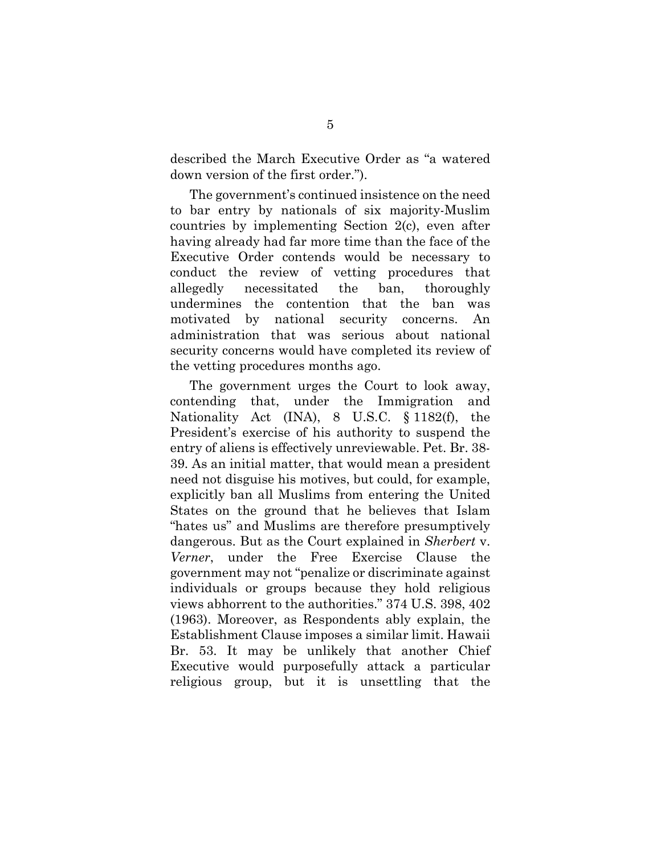described the March Executive Order as "a watered down version of the first order.").

The government's continued insistence on the need to bar entry by nationals of six majority-Muslim countries by implementing Section 2(c), even after having already had far more time than the face of the Executive Order contends would be necessary to conduct the review of vetting procedures that allegedly necessitated the ban, thoroughly undermines the contention that the ban was motivated by national security concerns. An administration that was serious about national security concerns would have completed its review of the vetting procedures months ago.

The government urges the Court to look away, contending that, under the Immigration and Nationality Act (INA), 8 U.S.C. § 1182(f), the President's exercise of his authority to suspend the entry of aliens is effectively unreviewable. Pet. Br. 38- 39. As an initial matter, that would mean a president need not disguise his motives, but could, for example, explicitly ban all Muslims from entering the United States on the ground that he believes that Islam "hates us" and Muslims are therefore presumptively dangerous. But as the Court explained in *Sherbert* v. *Verner*, under the Free Exercise Clause the government may not "penalize or discriminate against individuals or groups because they hold religious views abhorrent to the authorities." 374 U.S. 398, 402 (1963). Moreover, as Respondents ably explain, the Establishment Clause imposes a similar limit. Hawaii Br. 53. It may be unlikely that another Chief Executive would purposefully attack a particular religious group, but it is unsettling that the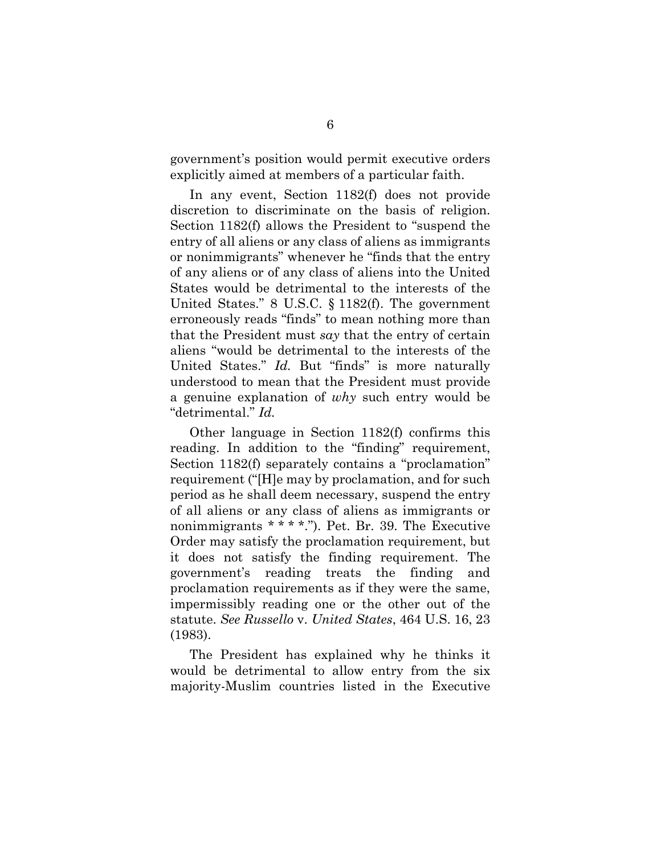government's position would permit executive orders explicitly aimed at members of a particular faith.

In any event, Section 1182(f) does not provide discretion to discriminate on the basis of religion. Section 1182(f) allows the President to "suspend the entry of all aliens or any class of aliens as immigrants or nonimmigrants" whenever he "finds that the entry of any aliens or of any class of aliens into the United States would be detrimental to the interests of the United States." 8 U.S.C. § 1182(f). The government erroneously reads "finds" to mean nothing more than that the President must *say* that the entry of certain aliens "would be detrimental to the interests of the United States." *Id.* But "finds" is more naturally understood to mean that the President must provide a genuine explanation of *why* such entry would be "detrimental." *Id.* 

Other language in Section 1182(f) confirms this reading. In addition to the "finding" requirement, Section 1182(f) separately contains a "proclamation" requirement ("[H]e may by proclamation, and for such period as he shall deem necessary, suspend the entry of all aliens or any class of aliens as immigrants or nonimmigrants \* \* \* \*."). Pet. Br. 39. The Executive Order may satisfy the proclamation requirement, but it does not satisfy the finding requirement. The government's reading treats the finding and proclamation requirements as if they were the same, impermissibly reading one or the other out of the statute. *See Russello* v. *United States*, 464 U.S. 16, 23 (1983).

The President has explained why he thinks it would be detrimental to allow entry from the six majority-Muslim countries listed in the Executive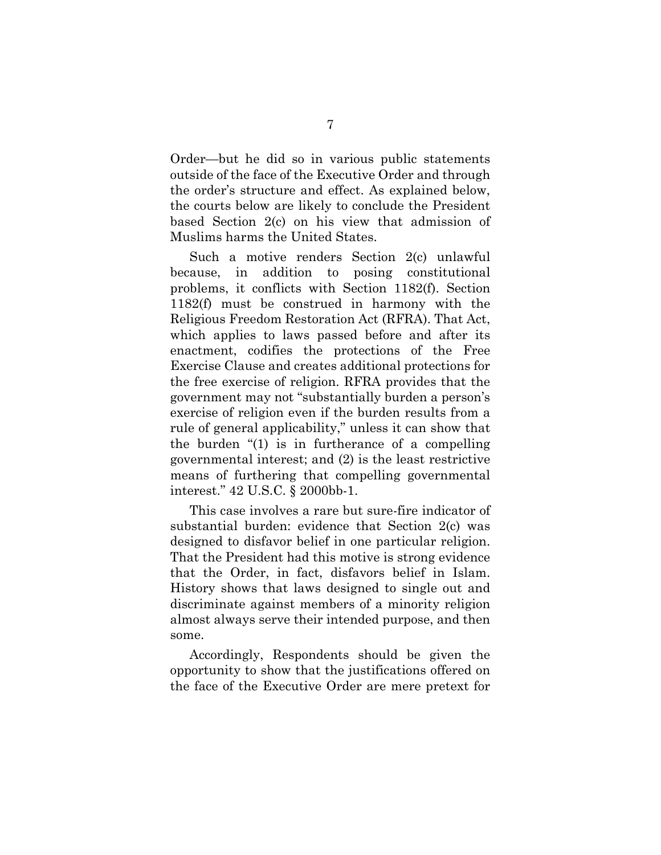Order—but he did so in various public statements outside of the face of the Executive Order and through the order's structure and effect. As explained below, the courts below are likely to conclude the President based Section 2(c) on his view that admission of Muslims harms the United States.

Such a motive renders Section 2(c) unlawful because, in addition to posing constitutional problems, it conflicts with Section 1182(f). Section 1182(f) must be construed in harmony with the Religious Freedom Restoration Act (RFRA). That Act, which applies to laws passed before and after its enactment, codifies the protections of the Free Exercise Clause and creates additional protections for the free exercise of religion. RFRA provides that the government may not "substantially burden a person's exercise of religion even if the burden results from a rule of general applicability," unless it can show that the burden "(1) is in furtherance of a compelling governmental interest; and (2) is the least restrictive means of furthering that compelling governmental interest." 42 U.S.C. § 2000bb-1.

This case involves a rare but sure-fire indicator of substantial burden: evidence that Section 2(c) was designed to disfavor belief in one particular religion. That the President had this motive is strong evidence that the Order, in fact, disfavors belief in Islam. History shows that laws designed to single out and discriminate against members of a minority religion almost always serve their intended purpose, and then some.

Accordingly, Respondents should be given the opportunity to show that the justifications offered on the face of the Executive Order are mere pretext for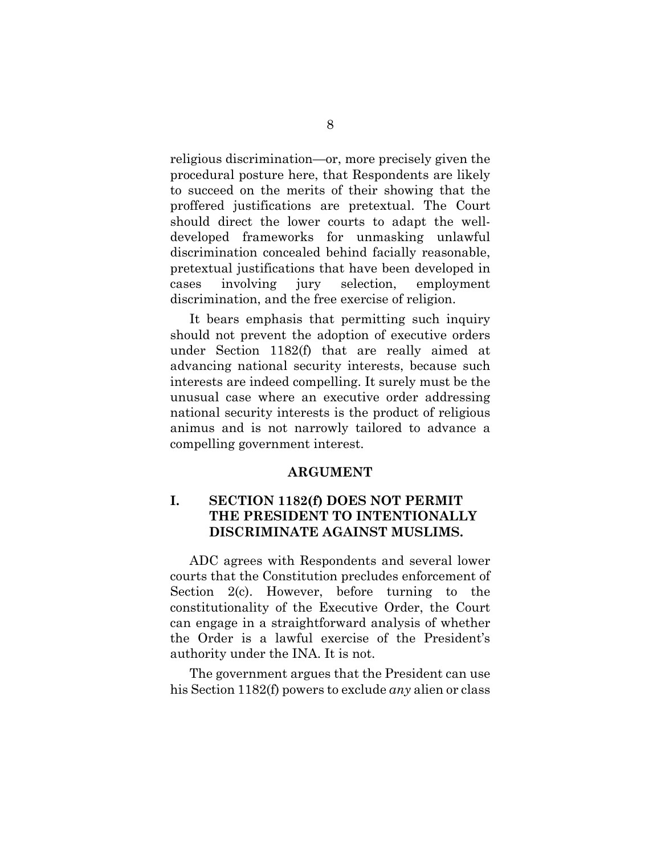religious discrimination—or, more precisely given the procedural posture here, that Respondents are likely to succeed on the merits of their showing that the proffered justifications are pretextual. The Court should direct the lower courts to adapt the welldeveloped frameworks for unmasking unlawful discrimination concealed behind facially reasonable, pretextual justifications that have been developed in cases involving jury selection, employment discrimination, and the free exercise of religion.

It bears emphasis that permitting such inquiry should not prevent the adoption of executive orders under Section 1182(f) that are really aimed at advancing national security interests, because such interests are indeed compelling. It surely must be the unusual case where an executive order addressing national security interests is the product of religious animus and is not narrowly tailored to advance a compelling government interest.

#### **ARGUMENT**

## **I. SECTION 1182(f) DOES NOT PERMIT THE PRESIDENT TO INTENTIONALLY DISCRIMINATE AGAINST MUSLIMS.**

ADC agrees with Respondents and several lower courts that the Constitution precludes enforcement of Section 2(c). However, before turning to the constitutionality of the Executive Order, the Court can engage in a straightforward analysis of whether the Order is a lawful exercise of the President's authority under the INA. It is not.

The government argues that the President can use his Section 1182(f) powers to exclude *any* alien or class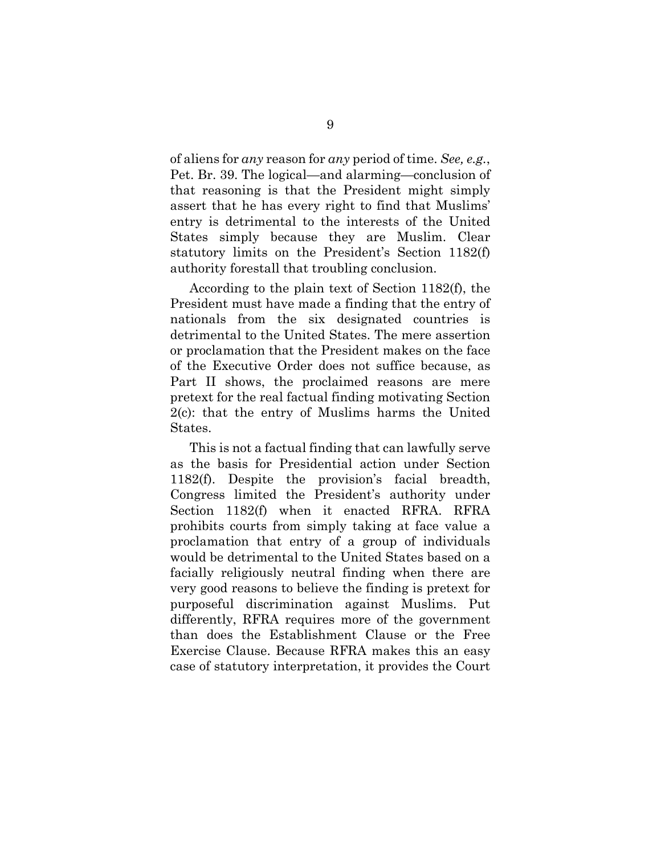of aliens for *any* reason for *any* period of time. *See, e.g.*, Pet. Br. 39. The logical—and alarming—conclusion of that reasoning is that the President might simply assert that he has every right to find that Muslims' entry is detrimental to the interests of the United States simply because they are Muslim. Clear statutory limits on the President's Section 1182(f) authority forestall that troubling conclusion.

According to the plain text of Section 1182(f), the President must have made a finding that the entry of nationals from the six designated countries is detrimental to the United States. The mere assertion or proclamation that the President makes on the face of the Executive Order does not suffice because, as Part II shows, the proclaimed reasons are mere pretext for the real factual finding motivating Section 2(c): that the entry of Muslims harms the United States.

This is not a factual finding that can lawfully serve as the basis for Presidential action under Section 1182(f). Despite the provision's facial breadth, Congress limited the President's authority under Section 1182(f) when it enacted RFRA. RFRA prohibits courts from simply taking at face value a proclamation that entry of a group of individuals would be detrimental to the United States based on a facially religiously neutral finding when there are very good reasons to believe the finding is pretext for purposeful discrimination against Muslims. Put differently, RFRA requires more of the government than does the Establishment Clause or the Free Exercise Clause. Because RFRA makes this an easy case of statutory interpretation, it provides the Court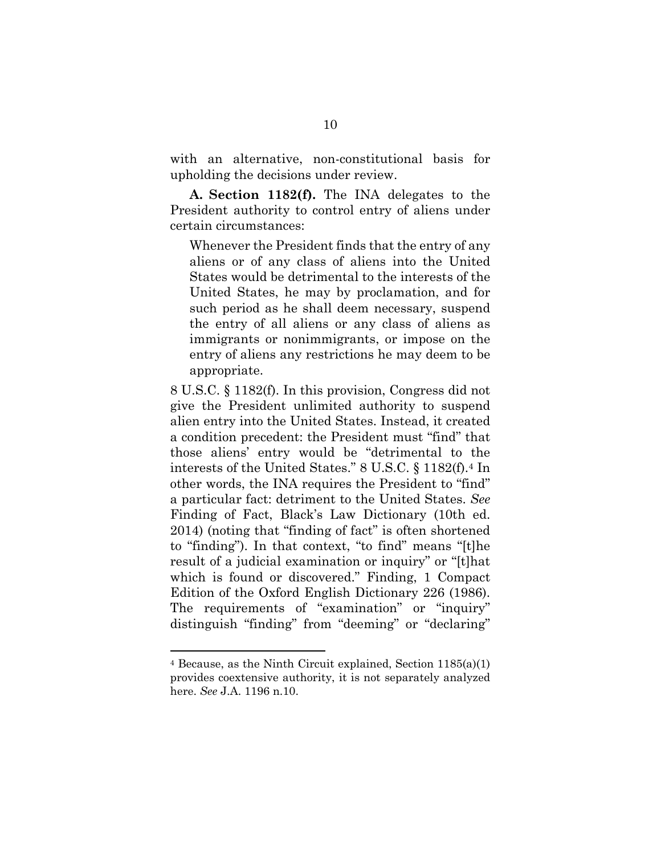with an alternative, non-constitutional basis for upholding the decisions under review.

**A. Section 1182(f).** The INA delegates to the President authority to control entry of aliens under certain circumstances:

Whenever the President finds that the entry of any aliens or of any class of aliens into the United States would be detrimental to the interests of the United States, he may by proclamation, and for such period as he shall deem necessary, suspend the entry of all aliens or any class of aliens as immigrants or nonimmigrants, or impose on the entry of aliens any restrictions he may deem to be appropriate.

8 U.S.C. § 1182(f). In this provision, Congress did not give the President unlimited authority to suspend alien entry into the United States. Instead, it created a condition precedent: the President must "find" that those aliens' entry would be "detrimental to the interests of the United States." 8 U.S.C. § 1182(f).4 In other words, the INA requires the President to "find" a particular fact: detriment to the United States. *See* Finding of Fact, Black's Law Dictionary (10th ed. 2014) (noting that "finding of fact" is often shortened to "finding"). In that context, "to find" means "[t]he result of a judicial examination or inquiry" or "[t]hat which is found or discovered." Finding, 1 Compact Edition of the Oxford English Dictionary 226 (1986). The requirements of "examination" or "inquiry" distinguish "finding" from "deeming" or "declaring"

<sup>4</sup> Because, as the Ninth Circuit explained, Section 1185(a)(1) provides coextensive authority, it is not separately analyzed here. *See* J.A. 1196 n.10.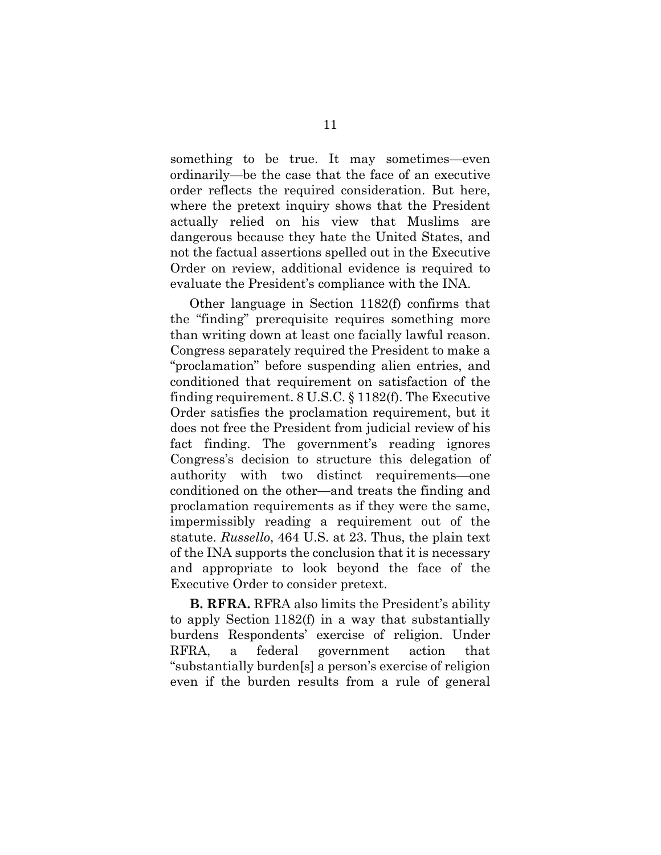something to be true. It may sometimes—even ordinarily—be the case that the face of an executive order reflects the required consideration. But here, where the pretext inquiry shows that the President actually relied on his view that Muslims are dangerous because they hate the United States, and not the factual assertions spelled out in the Executive Order on review, additional evidence is required to evaluate the President's compliance with the INA.

Other language in Section 1182(f) confirms that the "finding" prerequisite requires something more than writing down at least one facially lawful reason. Congress separately required the President to make a "proclamation" before suspending alien entries, and conditioned that requirement on satisfaction of the finding requirement. 8 U.S.C. § 1182(f). The Executive Order satisfies the proclamation requirement, but it does not free the President from judicial review of his fact finding. The government's reading ignores Congress's decision to structure this delegation of authority with two distinct requirements—one conditioned on the other—and treats the finding and proclamation requirements as if they were the same, impermissibly reading a requirement out of the statute. *Russello*, 464 U.S. at 23. Thus, the plain text of the INA supports the conclusion that it is necessary and appropriate to look beyond the face of the Executive Order to consider pretext.

**B. RFRA.** RFRA also limits the President's ability to apply Section 1182(f) in a way that substantially burdens Respondents' exercise of religion. Under RFRA, a federal government action that "substantially burden[s] a person's exercise of religion even if the burden results from a rule of general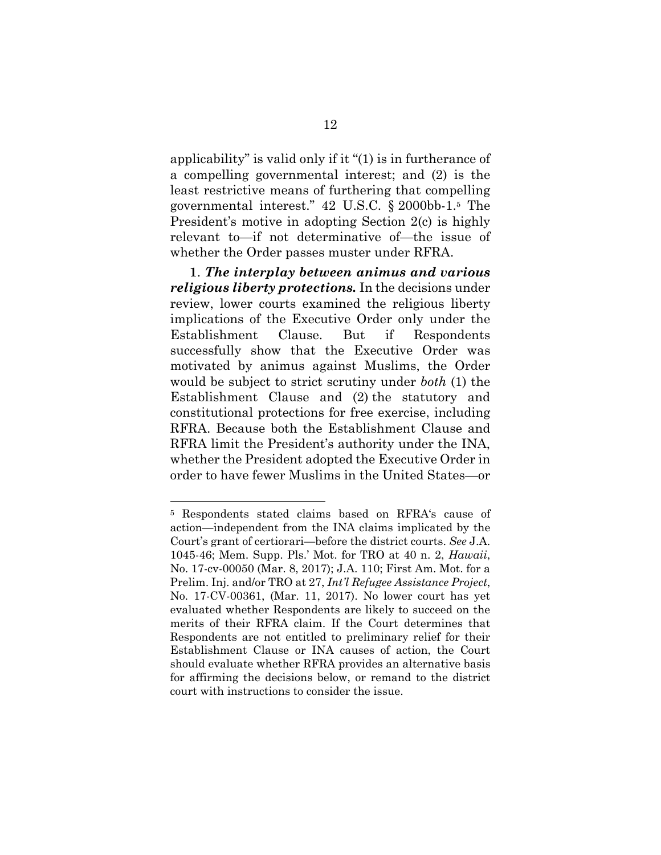applicability" is valid only if it "(1) is in furtherance of a compelling governmental interest; and (2) is the least restrictive means of furthering that compelling governmental interest." 42 U.S.C. § 2000bb-1.5 The President's motive in adopting Section 2(c) is highly relevant to—if not determinative of—the issue of whether the Order passes muster under RFRA.

**1**. *The interplay between animus and various religious liberty protections.* In the decisions under review, lower courts examined the religious liberty implications of the Executive Order only under the Establishment Clause. But if Respondents successfully show that the Executive Order was motivated by animus against Muslims, the Order would be subject to strict scrutiny under *both* (1) the Establishment Clause and (2) the statutory and constitutional protections for free exercise, including RFRA. Because both the Establishment Clause and RFRA limit the President's authority under the INA, whether the President adopted the Executive Order in order to have fewer Muslims in the United States—or

<sup>5</sup> Respondents stated claims based on RFRA's cause of action—independent from the INA claims implicated by the Court's grant of certiorari—before the district courts. *See* J.A. 1045-46; Mem. Supp. Pls.' Mot. for TRO at 40 n. 2, *Hawaii*, No. 17-cv-00050 (Mar. 8, 2017); J.A. 110; First Am. Mot. for a Prelim. Inj. and/or TRO at 27, *Int'l Refugee Assistance Project*, No. 17-CV-00361, (Mar. 11, 2017). No lower court has yet evaluated whether Respondents are likely to succeed on the merits of their RFRA claim. If the Court determines that Respondents are not entitled to preliminary relief for their Establishment Clause or INA causes of action, the Court should evaluate whether RFRA provides an alternative basis for affirming the decisions below, or remand to the district court with instructions to consider the issue.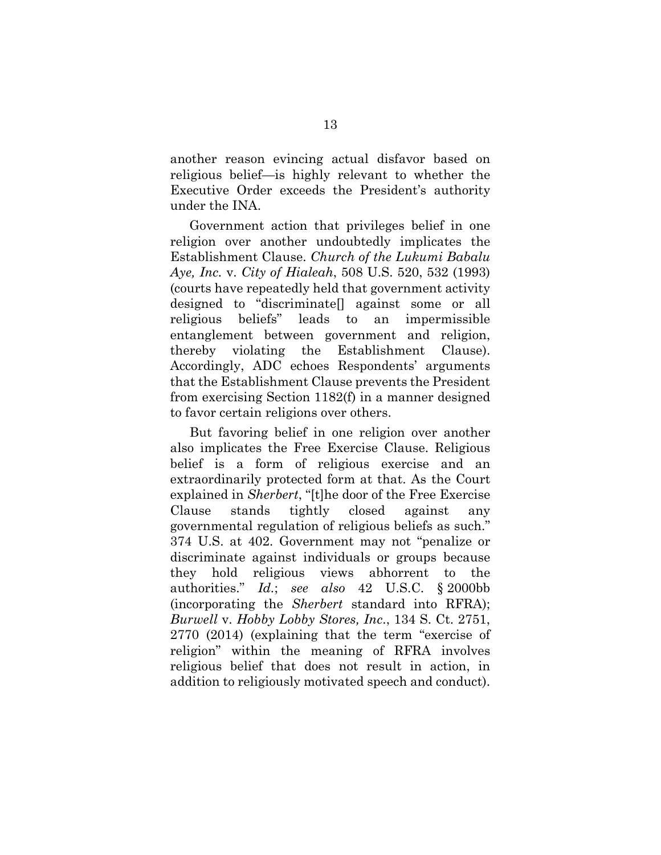another reason evincing actual disfavor based on religious belief—is highly relevant to whether the Executive Order exceeds the President's authority under the INA.

Government action that privileges belief in one religion over another undoubtedly implicates the Establishment Clause. *Church of the Lukumi Babalu Aye, Inc.* v. *City of Hialeah*, 508 U.S. 520, 532 (1993) (courts have repeatedly held that government activity designed to "discriminate[] against some or all religious beliefs" leads to an impermissible entanglement between government and religion, thereby violating the Establishment Clause). Accordingly, ADC echoes Respondents' arguments that the Establishment Clause prevents the President from exercising Section 1182(f) in a manner designed to favor certain religions over others.

But favoring belief in one religion over another also implicates the Free Exercise Clause. Religious belief is a form of religious exercise and an extraordinarily protected form at that. As the Court explained in *Sherbert*, "[t]he door of the Free Exercise Clause stands tightly closed against any governmental regulation of religious beliefs as such." 374 U.S. at 402. Government may not "penalize or discriminate against individuals or groups because they hold religious views abhorrent to the authorities." *Id.*; *see also* 42 U.S.C. § 2000bb (incorporating the *Sherbert* standard into RFRA); *Burwell* v. *Hobby Lobby Stores, Inc*., 134 S. Ct. 2751, 2770 (2014) (explaining that the term "exercise of religion" within the meaning of RFRA involves religious belief that does not result in action, in addition to religiously motivated speech and conduct).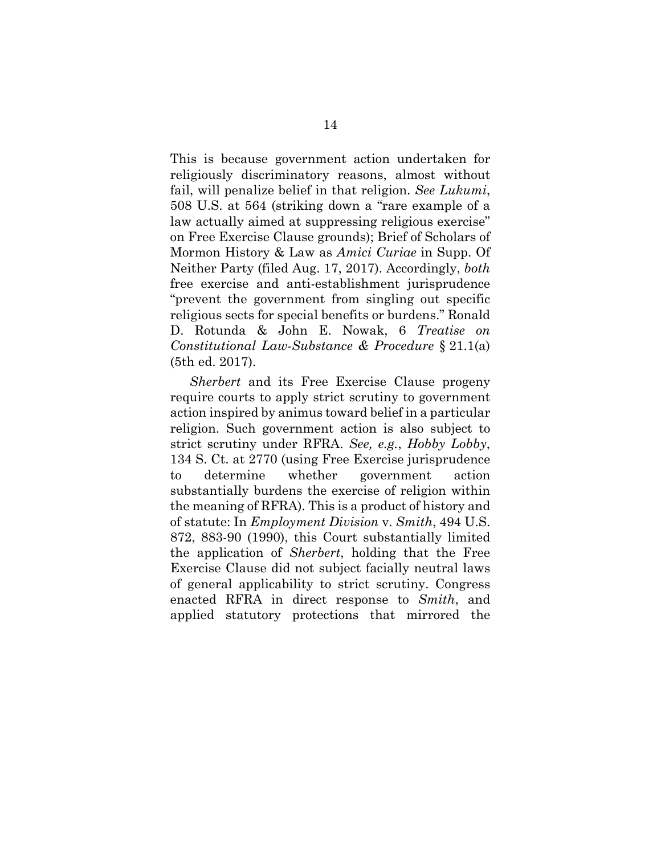This is because government action undertaken for religiously discriminatory reasons, almost without fail, will penalize belief in that religion. *See Lukumi*, 508 U.S. at 564 (striking down a "rare example of a law actually aimed at suppressing religious exercise" on Free Exercise Clause grounds); Brief of Scholars of Mormon History & Law as *Amici Curiae* in Supp. Of Neither Party (filed Aug. 17, 2017). Accordingly, *both* free exercise and anti-establishment jurisprudence "prevent the government from singling out specific religious sects for special benefits or burdens." Ronald D. Rotunda & John E. Nowak, 6 *Treatise on Constitutional Law-Substance & Procedure* § 21.1(a) (5th ed. 2017).

*Sherbert* and its Free Exercise Clause progeny require courts to apply strict scrutiny to government action inspired by animus toward belief in a particular religion. Such government action is also subject to strict scrutiny under RFRA. *See, e.g.*, *Hobby Lobby*, 134 S. Ct. at 2770 (using Free Exercise jurisprudence to determine whether government action substantially burdens the exercise of religion within the meaning of RFRA). This is a product of history and of statute: In *Employment Division* v. *Smith*, 494 U.S. 872, 883-90 (1990), this Court substantially limited the application of *Sherbert*, holding that the Free Exercise Clause did not subject facially neutral laws of general applicability to strict scrutiny. Congress enacted RFRA in direct response to *Smith*, and applied statutory protections that mirrored the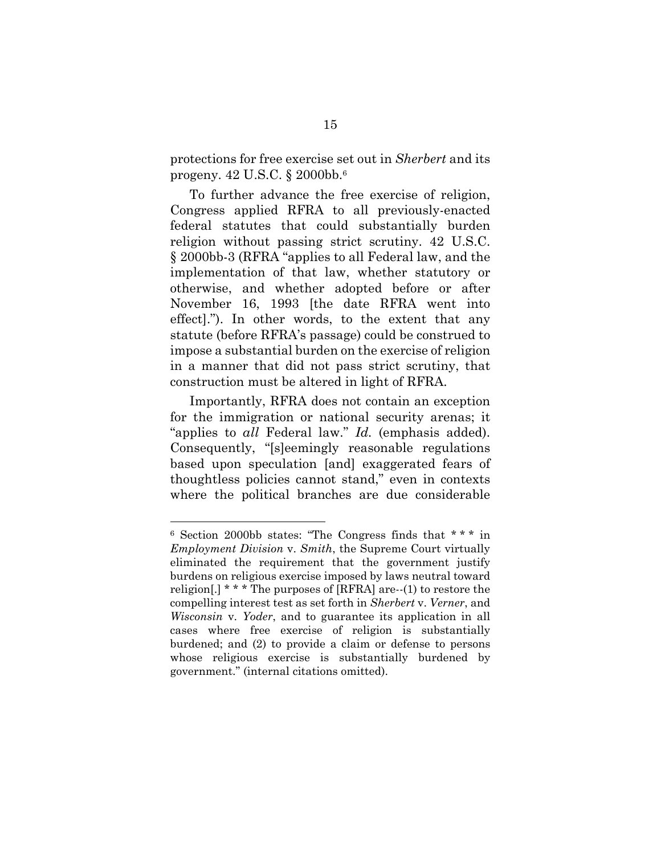protections for free exercise set out in *Sherbert* and its progeny. 42 U.S.C. § 2000bb.6

To further advance the free exercise of religion, Congress applied RFRA to all previously-enacted federal statutes that could substantially burden religion without passing strict scrutiny. 42 U.S.C. § 2000bb-3 (RFRA "applies to all Federal law, and the implementation of that law, whether statutory or otherwise, and whether adopted before or after November 16, 1993 [the date RFRA went into effect]."). In other words, to the extent that any statute (before RFRA's passage) could be construed to impose a substantial burden on the exercise of religion in a manner that did not pass strict scrutiny, that construction must be altered in light of RFRA.

Importantly, RFRA does not contain an exception for the immigration or national security arenas; it "applies to *all* Federal law." *Id.* (emphasis added). Consequently, "[s]eemingly reasonable regulations based upon speculation [and] exaggerated fears of thoughtless policies cannot stand," even in contexts where the political branches are due considerable

<sup>6</sup> Section 2000bb states: "The Congress finds that \* \* \* in *Employment Division* v. *Smith*, the Supreme Court virtually eliminated the requirement that the government justify burdens on religious exercise imposed by laws neutral toward religion[.] \* \* \* The purposes of [RFRA] are--(1) to restore the compelling interest test as set forth in *Sherbert* v. *Verner*, and *Wisconsin* v. *Yoder*, and to guarantee its application in all cases where free exercise of religion is substantially burdened; and (2) to provide a claim or defense to persons whose religious exercise is substantially burdened by government." (internal citations omitted).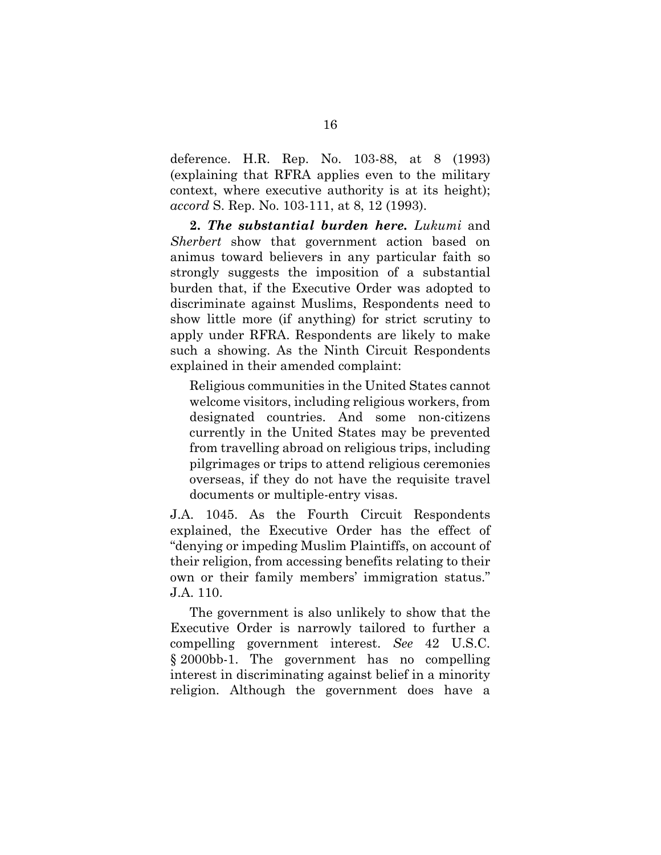deference. H.R. Rep. No. 103-88, at 8 (1993) (explaining that RFRA applies even to the military context, where executive authority is at its height); *accord* S. Rep. No. 103-111, at 8, 12 (1993).

**2.** *The substantial burden here. Lukumi* and *Sherbert* show that government action based on animus toward believers in any particular faith so strongly suggests the imposition of a substantial burden that, if the Executive Order was adopted to discriminate against Muslims, Respondents need to show little more (if anything) for strict scrutiny to apply under RFRA. Respondents are likely to make such a showing. As the Ninth Circuit Respondents explained in their amended complaint:

Religious communities in the United States cannot welcome visitors, including religious workers, from designated countries. And some non-citizens currently in the United States may be prevented from travelling abroad on religious trips, including pilgrimages or trips to attend religious ceremonies overseas, if they do not have the requisite travel documents or multiple-entry visas.

J.A. 1045. As the Fourth Circuit Respondents explained, the Executive Order has the effect of "denying or impeding Muslim Plaintiffs, on account of their religion, from accessing benefits relating to their own or their family members' immigration status." J.A. 110.

The government is also unlikely to show that the Executive Order is narrowly tailored to further a compelling government interest. *See* 42 U.S.C. § 2000bb-1. The government has no compelling interest in discriminating against belief in a minority religion. Although the government does have a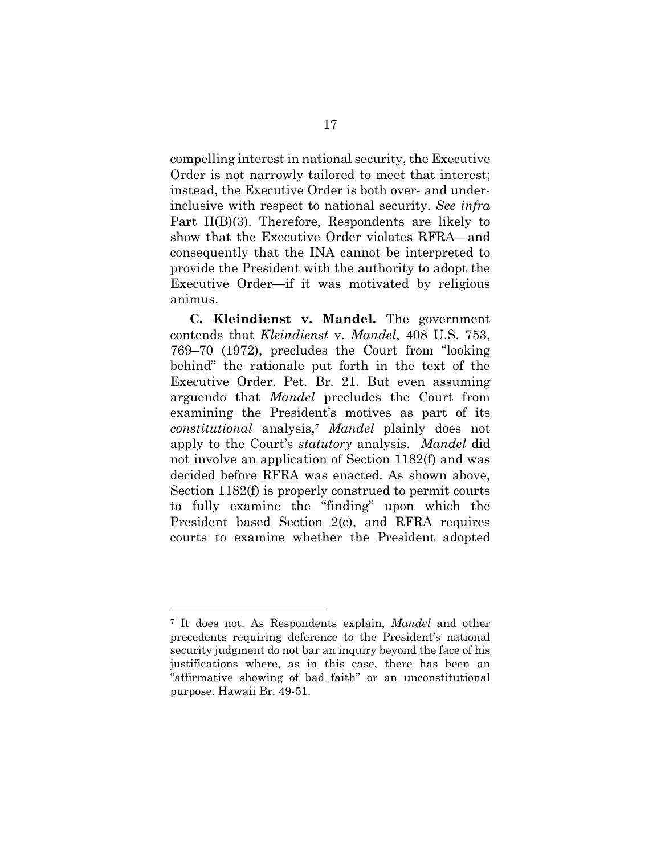compelling interest in national security, the Executive Order is not narrowly tailored to meet that interest; instead, the Executive Order is both over- and underinclusive with respect to national security. *See infra*  Part II(B)(3). Therefore, Respondents are likely to show that the Executive Order violates RFRA—and consequently that the INA cannot be interpreted to provide the President with the authority to adopt the Executive Order—if it was motivated by religious animus.

**C***.* **Kleindienst v. Mandel.** The government contends that *Kleindienst* v. *Mandel*, 408 U.S. 753, 769–70 (1972), precludes the Court from "looking behind" the rationale put forth in the text of the Executive Order. Pet. Br. 21. But even assuming arguendo that *Mandel* precludes the Court from examining the President's motives as part of its *constitutional* analysis,7 *Mandel* plainly does not apply to the Court's *statutory* analysis. *Mandel* did not involve an application of Section 1182(f) and was decided before RFRA was enacted. As shown above, Section 1182(f) is properly construed to permit courts to fully examine the "finding" upon which the President based Section 2(c), and RFRA requires courts to examine whether the President adopted

<sup>7</sup> It does not. As Respondents explain, *Mandel* and other precedents requiring deference to the President's national security judgment do not bar an inquiry beyond the face of his justifications where, as in this case, there has been an "affirmative showing of bad faith" or an unconstitutional purpose. Hawaii Br. 49-51.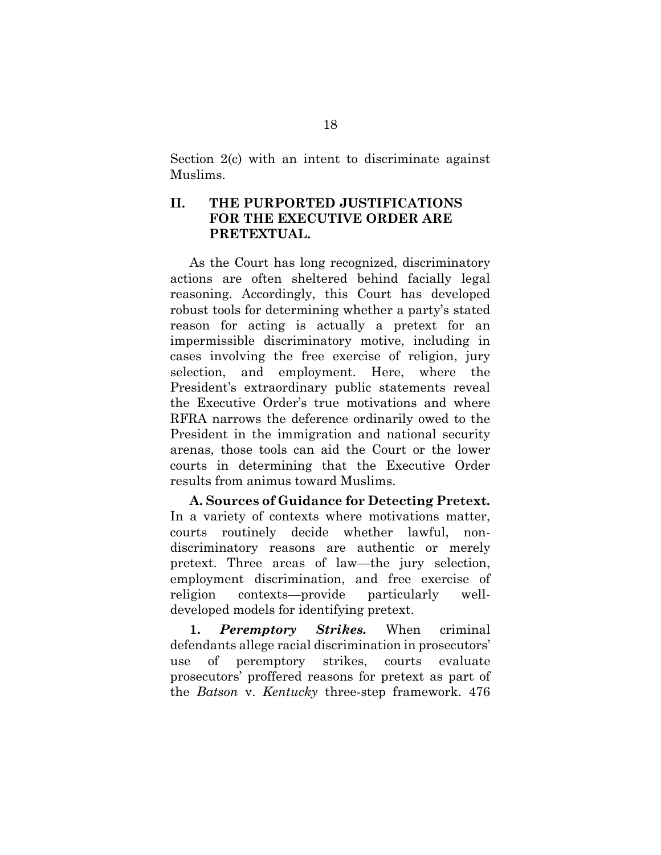Section 2(c) with an intent to discriminate against Muslims.

## **II. THE PURPORTED JUSTIFICATIONS FOR THE EXECUTIVE ORDER ARE PRETEXTUAL.**

As the Court has long recognized, discriminatory actions are often sheltered behind facially legal reasoning. Accordingly, this Court has developed robust tools for determining whether a party's stated reason for acting is actually a pretext for an impermissible discriminatory motive, including in cases involving the free exercise of religion, jury selection, and employment. Here, where the President's extraordinary public statements reveal the Executive Order's true motivations and where RFRA narrows the deference ordinarily owed to the President in the immigration and national security arenas, those tools can aid the Court or the lower courts in determining that the Executive Order results from animus toward Muslims.

**A. Sources of Guidance for Detecting Pretext.** In a variety of contexts where motivations matter, courts routinely decide whether lawful, nondiscriminatory reasons are authentic or merely pretext. Three areas of law—the jury selection, employment discrimination, and free exercise of religion contexts—provide particularly welldeveloped models for identifying pretext.

**1.** *Peremptory Strikes.* When criminal defendants allege racial discrimination in prosecutors' use of peremptory strikes, courts evaluate prosecutors' proffered reasons for pretext as part of the *Batson* v. *Kentucky* three-step framework. 476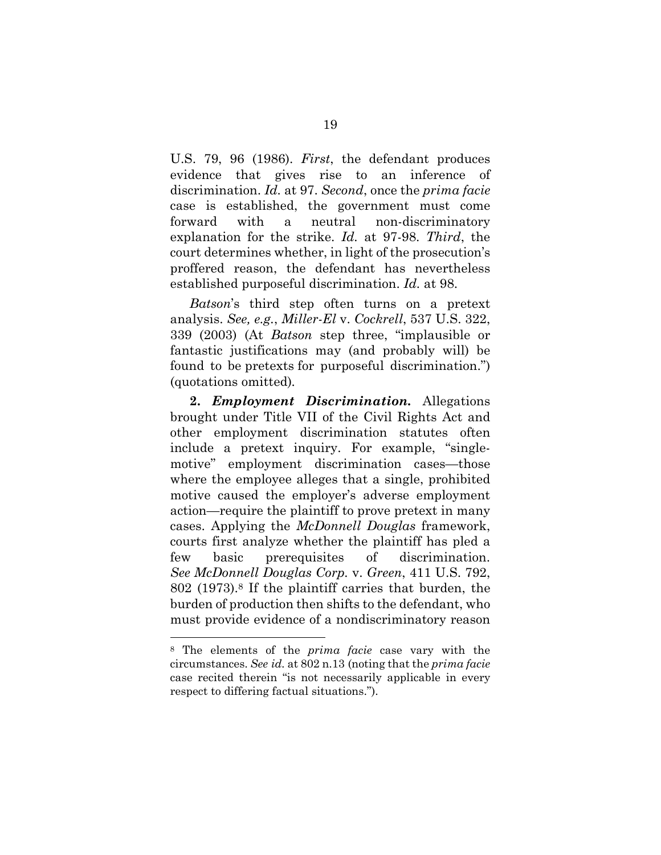U.S. 79, 96 (1986). *First*, the defendant produces evidence that gives rise to an inference of discrimination. *Id.* at 97. *Second*, once the *prima facie*  case is established, the government must come forward with a neutral non-discriminatory explanation for the strike. *Id.* at 97-98. *Third*, the court determines whether, in light of the prosecution's proffered reason, the defendant has nevertheless established purposeful discrimination. *Id.* at 98.

*Batson*'s third step often turns on a pretext analysis. *See, e.g.*, *Miller-El* v. *Cockrell*, 537 U.S. 322, 339 (2003) (At *Batson* step three, "implausible or fantastic justifications may (and probably will) be found to be pretexts for purposeful discrimination.") (quotations omitted)*.* 

**2.** *Employment Discrimination.* Allegations brought under Title VII of the Civil Rights Act and other employment discrimination statutes often include a pretext inquiry. For example, "singlemotive" employment discrimination cases—those where the employee alleges that a single, prohibited motive caused the employer's adverse employment action—require the plaintiff to prove pretext in many cases. Applying the *McDonnell Douglas* framework, courts first analyze whether the plaintiff has pled a few basic prerequisites of discrimination. *See McDonnell Douglas Corp.* v. *Green*, 411 U.S. 792, 802 (1973).8 If the plaintiff carries that burden, the burden of production then shifts to the defendant, who must provide evidence of a nondiscriminatory reason

<sup>8</sup> The elements of the *prima facie* case vary with the circumstances. *See id.* at 802 n.13 (noting that the *prima facie* case recited therein "is not necessarily applicable in every respect to differing factual situations.").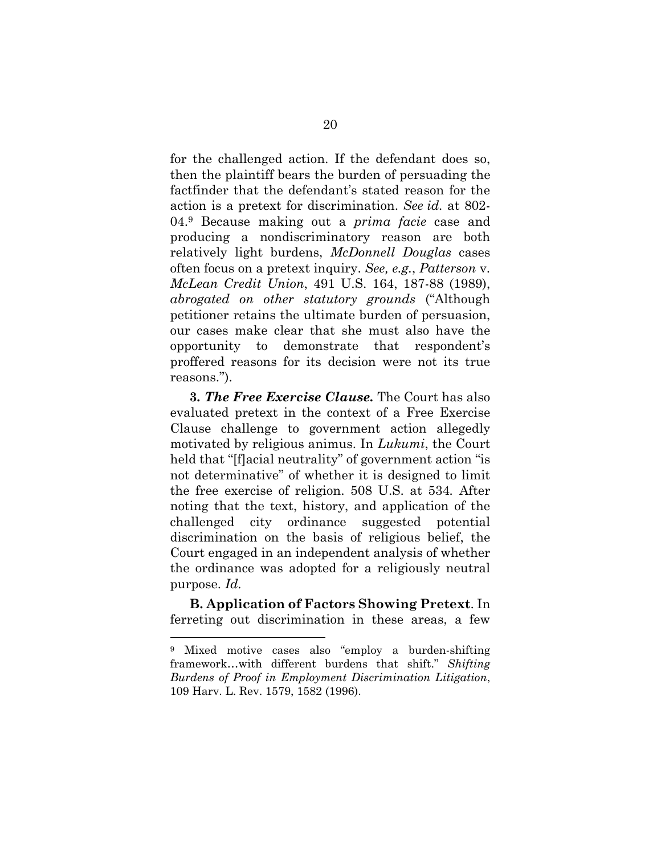for the challenged action. If the defendant does so, then the plaintiff bears the burden of persuading the factfinder that the defendant's stated reason for the action is a pretext for discrimination. *See id.* at 802- 04.9 Because making out a *prima facie* case and producing a nondiscriminatory reason are both relatively light burdens, *McDonnell Douglas* cases often focus on a pretext inquiry. *See, e.g.*, *Patterson* v. *McLean Credit Union*, 491 U.S. 164, 187-88 (1989), *abrogated on other statutory grounds* ("Although petitioner retains the ultimate burden of persuasion, our cases make clear that she must also have the opportunity to demonstrate that respondent's proffered reasons for its decision were not its true reasons.").

**3***. The Free Exercise Clause.* The Court has also evaluated pretext in the context of a Free Exercise Clause challenge to government action allegedly motivated by religious animus. In *Lukumi*, the Court held that "[f]acial neutrality" of government action "is not determinative" of whether it is designed to limit the free exercise of religion. 508 U.S. at 534*.* After noting that the text, history, and application of the challenged city ordinance suggested potential discrimination on the basis of religious belief, the Court engaged in an independent analysis of whether the ordinance was adopted for a religiously neutral purpose. *Id.* 

**B. Application of Factors Showing Pretext**. In ferreting out discrimination in these areas, a few

<sup>9</sup> Mixed motive cases also "employ a burden-shifting framework…with different burdens that shift." *Shifting Burdens of Proof in Employment Discrimination Litigation*, 109 Harv. L. Rev. 1579, 1582 (1996).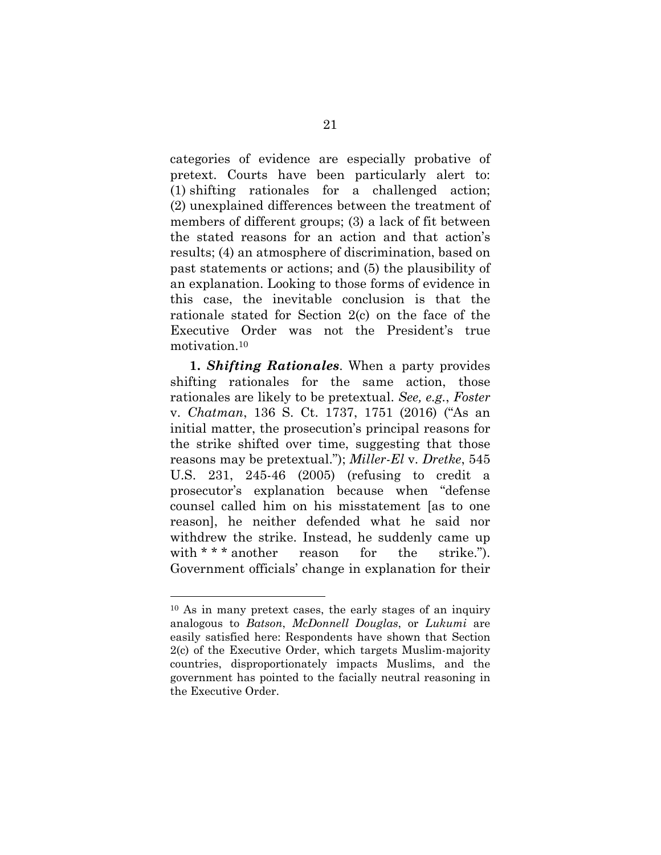categories of evidence are especially probative of pretext. Courts have been particularly alert to: (1) shifting rationales for a challenged action; (2) unexplained differences between the treatment of members of different groups; (3) a lack of fit between the stated reasons for an action and that action's results; (4) an atmosphere of discrimination, based on past statements or actions; and (5) the plausibility of an explanation. Looking to those forms of evidence in this case, the inevitable conclusion is that the rationale stated for Section 2(c) on the face of the Executive Order was not the President's true motivation.10

**1.** *Shifting Rationales*. When a party provides shifting rationales for the same action, those rationales are likely to be pretextual. *See, e.g.*, *Foster*  v. *Chatman*, 136 S. Ct. 1737, 1751 (2016) ("As an initial matter, the prosecution's principal reasons for the strike shifted over time, suggesting that those reasons may be pretextual."); *Miller-El* v. *Dretke*, 545 U.S. 231, 245-46 (2005) (refusing to credit a prosecutor's explanation because when "defense counsel called him on his misstatement [as to one reason], he neither defended what he said nor withdrew the strike. Instead, he suddenly came up with \* \* \* another reason for the strike."). Government officials' change in explanation for their

<sup>10</sup> As in many pretext cases, the early stages of an inquiry analogous to *Batson*, *McDonnell Douglas*, or *Lukumi* are easily satisfied here: Respondents have shown that Section 2(c) of the Executive Order, which targets Muslim-majority countries, disproportionately impacts Muslims, and the government has pointed to the facially neutral reasoning in the Executive Order.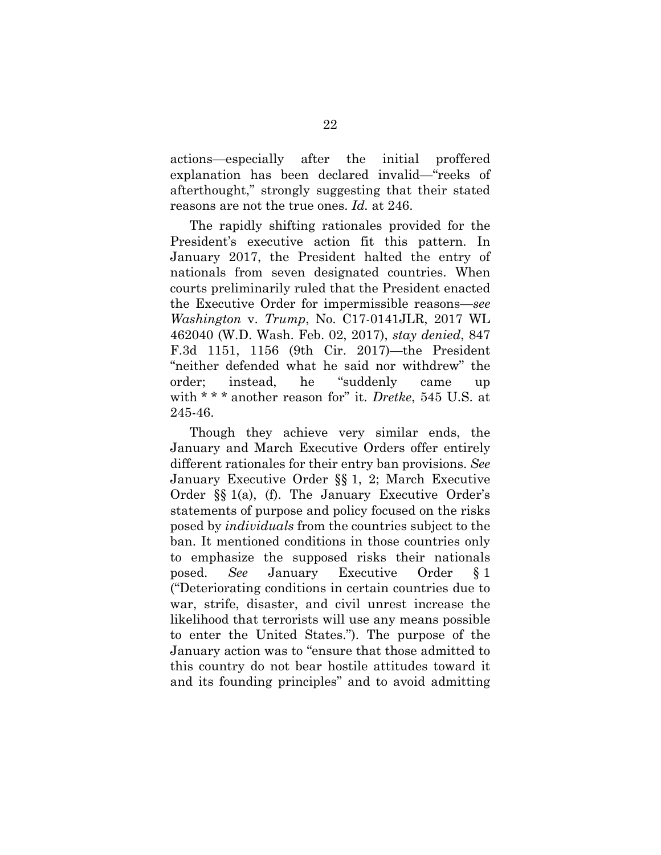actions—especially after the initial proffered explanation has been declared invalid—"reeks of afterthought," strongly suggesting that their stated reasons are not the true ones. *Id.* at 246.

The rapidly shifting rationales provided for the President's executive action fit this pattern. In January 2017, the President halted the entry of nationals from seven designated countries. When courts preliminarily ruled that the President enacted the Executive Order for impermissible reasons—*see Washington* v. *Trump*, No. C17-0141JLR, 2017 WL 462040 (W.D. Wash. Feb. 02, 2017), *stay denied*, 847 F.3d 1151, 1156 (9th Cir. 2017)—the President "neither defended what he said nor withdrew" the order; instead, he "suddenly came up with \* \* \* another reason for" it. *Dretke*, 545 U.S. at 245-46.

Though they achieve very similar ends, the January and March Executive Orders offer entirely different rationales for their entry ban provisions. *See* January Executive Order §§ 1, 2; March Executive Order §§ 1(a), (f). The January Executive Order's statements of purpose and policy focused on the risks posed by *individuals* from the countries subject to the ban. It mentioned conditions in those countries only to emphasize the supposed risks their nationals posed. *See* January Executive Order § 1 ("Deteriorating conditions in certain countries due to war, strife, disaster, and civil unrest increase the likelihood that terrorists will use any means possible to enter the United States."). The purpose of the January action was to "ensure that those admitted to this country do not bear hostile attitudes toward it and its founding principles" and to avoid admitting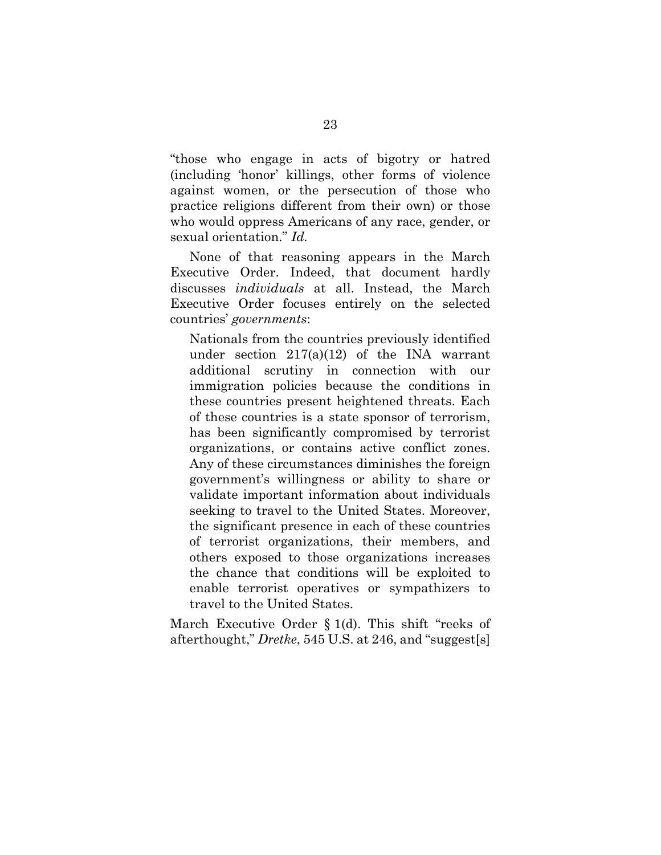"those who engage in acts of bigotry or hatred (including 'honor' killings, other forms of violence against women, or the persecution of those who practice religions different from their own) or those who would oppress Americans of any race, gender, or sexual orientation." *Id.*

None of that reasoning appears in the March Executive Order. Indeed, that document hardly discusses *individuals* at all. Instead, the March Executive Order focuses entirely on the selected countries' *governments*:

Nationals from the countries previously identified under section  $217(a)(12)$  of the INA warrant additional scrutiny in connection with our immigration policies because the conditions in these countries present heightened threats. Each of these countries is a state sponsor of terrorism, has been significantly compromised by terrorist organizations, or contains active conflict zones. Any of these circumstances diminishes the foreign government's willingness or ability to share or validate important information about individuals seeking to travel to the United States. Moreover, the significant presence in each of these countries of terrorist organizations, their members, and others exposed to those organizations increases the chance that conditions will be exploited to enable terrorist operatives or sympathizers to travel to the United States.

March Executive Order § 1(d). This shift "reeks of afterthought," *Dretke*, 545 U.S. at 246, and "suggest[s]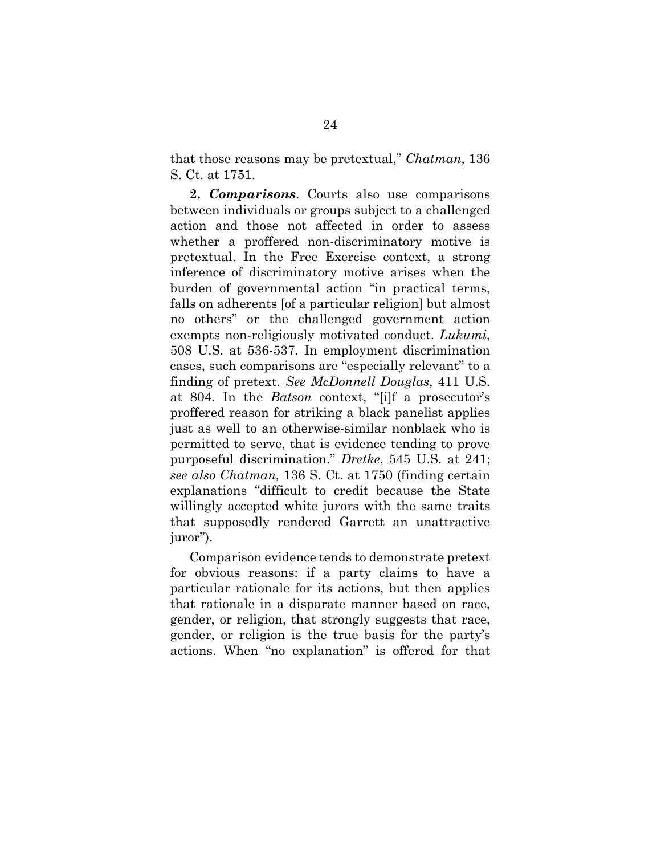that those reasons may be pretextual," *Chatman*, 136 S. Ct. at 1751.

**2.** *Comparisons*. Courts also use comparisons between individuals or groups subject to a challenged action and those not affected in order to assess whether a proffered non-discriminatory motive is pretextual. In the Free Exercise context, a strong inference of discriminatory motive arises when the burden of governmental action "in practical terms, falls on adherents [of a particular religion] but almost no others" or the challenged government action exempts non-religiously motivated conduct. *Lukumi*, 508 U.S. at 536-537. In employment discrimination cases, such comparisons are "especially relevant" to a finding of pretext. *See McDonnell Douglas*, 411 U.S. at 804. In the *Batson* context, "[i]f a prosecutor's proffered reason for striking a black panelist applies just as well to an otherwise-similar nonblack who is permitted to serve, that is evidence tending to prove purposeful discrimination." *Dretke*, 545 U.S. at 241; *see also Chatman,* 136 S. Ct. at 1750 (finding certain explanations "difficult to credit because the State willingly accepted white jurors with the same traits that supposedly rendered Garrett an unattractive juror").

Comparison evidence tends to demonstrate pretext for obvious reasons: if a party claims to have a particular rationale for its actions, but then applies that rationale in a disparate manner based on race, gender, or religion, that strongly suggests that race, gender, or religion is the true basis for the party's actions. When "no explanation" is offered for that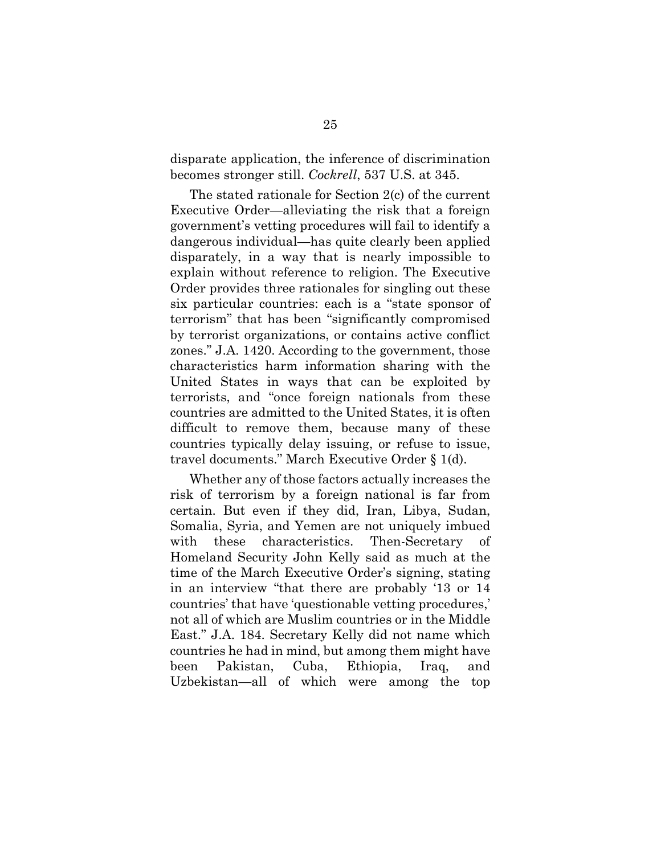disparate application, the inference of discrimination becomes stronger still. *Cockrell*, 537 U.S. at 345.

The stated rationale for Section 2(c) of the current Executive Order—alleviating the risk that a foreign government's vetting procedures will fail to identify a dangerous individual—has quite clearly been applied disparately, in a way that is nearly impossible to explain without reference to religion. The Executive Order provides three rationales for singling out these six particular countries: each is a "state sponsor of terrorism" that has been "significantly compromised by terrorist organizations, or contains active conflict zones." J.A. 1420. According to the government, those characteristics harm information sharing with the United States in ways that can be exploited by terrorists, and "once foreign nationals from these countries are admitted to the United States, it is often difficult to remove them, because many of these countries typically delay issuing, or refuse to issue, travel documents." March Executive Order § 1(d).

Whether any of those factors actually increases the risk of terrorism by a foreign national is far from certain. But even if they did, Iran, Libya, Sudan, Somalia, Syria, and Yemen are not uniquely imbued with these characteristics. Then-Secretary of Homeland Security John Kelly said as much at the time of the March Executive Order's signing, stating in an interview "that there are probably '13 or 14 countries' that have 'questionable vetting procedures,' not all of which are Muslim countries or in the Middle East." J.A. 184. Secretary Kelly did not name which countries he had in mind, but among them might have been Pakistan, Cuba, Ethiopia, Iraq, and Uzbekistan—all of which were among the top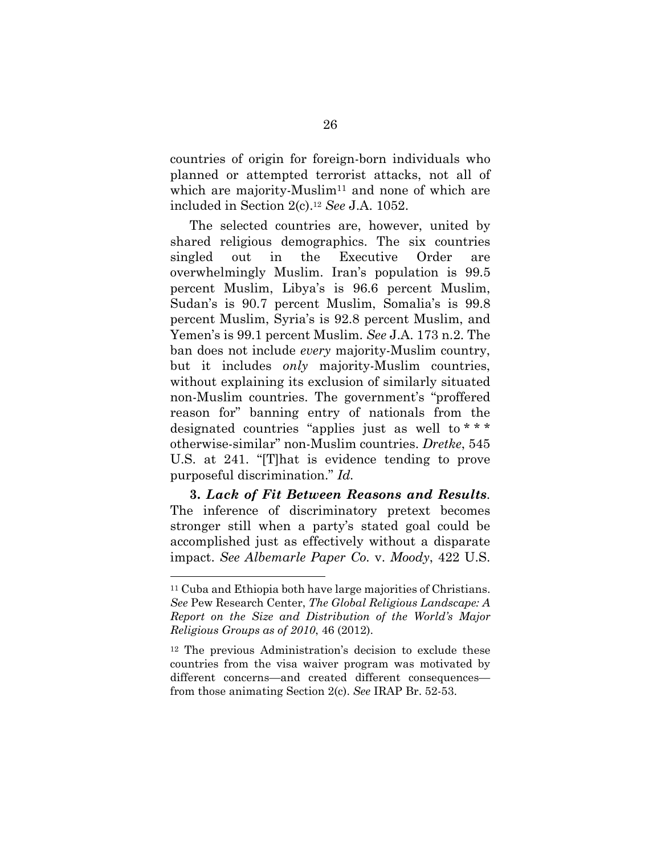countries of origin for foreign-born individuals who planned or attempted terrorist attacks, not all of which are majority-Muslim<sup>11</sup> and none of which are included in Section 2(c).12 *See* J.A. 1052.

The selected countries are, however, united by shared religious demographics. The six countries singled out in the Executive Order are overwhelmingly Muslim. Iran's population is 99.5 percent Muslim, Libya's is 96.6 percent Muslim, Sudan's is 90.7 percent Muslim, Somalia's is 99.8 percent Muslim, Syria's is 92.8 percent Muslim, and Yemen's is 99.1 percent Muslim. *See* J.A. 173 n.2. The ban does not include *every* majority-Muslim country, but it includes *only* majority-Muslim countries, without explaining its exclusion of similarly situated non-Muslim countries. The government's "proffered reason for" banning entry of nationals from the designated countries "applies just as well to \* \* \* otherwise-similar" non-Muslim countries. *Dretke*, 545 U.S. at 241. "[T]hat is evidence tending to prove purposeful discrimination." *Id.* 

**3.** *Lack of Fit Between Reasons and Results*. The inference of discriminatory pretext becomes stronger still when a party's stated goal could be accomplished just as effectively without a disparate impact. *See Albemarle Paper Co.* v. *Moody*, 422 U.S.

<sup>11</sup> Cuba and Ethiopia both have large majorities of Christians. *See* Pew Research Center, *The Global Religious Landscape: A Report on the Size and Distribution of the World's Major Religious Groups as of 2010*, 46 (2012).

<sup>12</sup> The previous Administration's decision to exclude these countries from the visa waiver program was motivated by different concerns—and created different consequences from those animating Section 2(c). *See* IRAP Br. 52-53.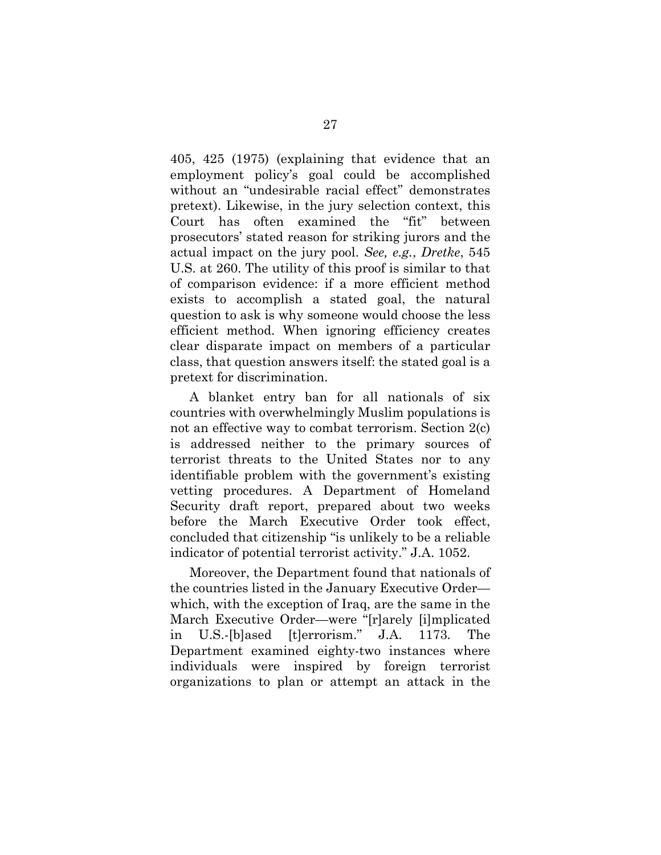405, 425 (1975) (explaining that evidence that an employment policy's goal could be accomplished without an "undesirable racial effect" demonstrates pretext). Likewise, in the jury selection context, this Court has often examined the "fit" between prosecutors' stated reason for striking jurors and the actual impact on the jury pool. *See, e.g.*, *Dretke*, 545 U.S. at 260. The utility of this proof is similar to that of comparison evidence: if a more efficient method exists to accomplish a stated goal, the natural question to ask is why someone would choose the less efficient method. When ignoring efficiency creates clear disparate impact on members of a particular class, that question answers itself: the stated goal is a pretext for discrimination.

A blanket entry ban for all nationals of six countries with overwhelmingly Muslim populations is not an effective way to combat terrorism. Section 2(c) is addressed neither to the primary sources of terrorist threats to the United States nor to any identifiable problem with the government's existing vetting procedures. A Department of Homeland Security draft report, prepared about two weeks before the March Executive Order took effect, concluded that citizenship "is unlikely to be a reliable indicator of potential terrorist activity." J.A. 1052.

Moreover, the Department found that nationals of the countries listed in the January Executive Order which, with the exception of Iraq, are the same in the March Executive Order—were "[r]arely [i]mplicated in U.S.-[b]ased [t]errorism." J.A. 1173*.* The Department examined eighty-two instances where individuals were inspired by foreign terrorist organizations to plan or attempt an attack in the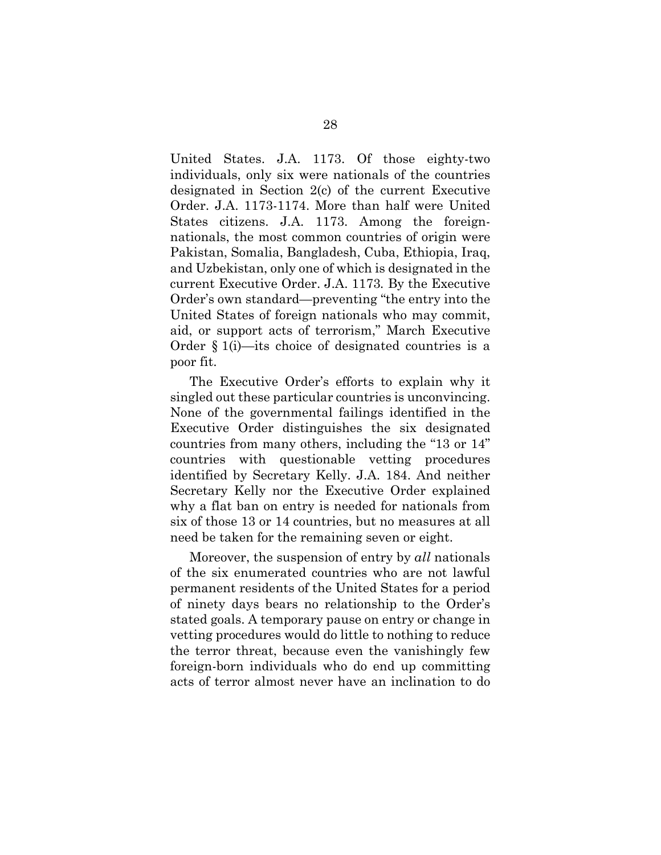United States. J.A. 1173. Of those eighty-two individuals, only six were nationals of the countries designated in Section 2(c) of the current Executive Order. J.A. 1173-1174. More than half were United States citizens. J.A. 1173. Among the foreignnationals, the most common countries of origin were Pakistan, Somalia, Bangladesh, Cuba, Ethiopia, Iraq, and Uzbekistan, only one of which is designated in the current Executive Order. J.A. 1173*.* By the Executive Order's own standard—preventing "the entry into the United States of foreign nationals who may commit, aid, or support acts of terrorism," March Executive Order § 1(i)—its choice of designated countries is a poor fit.

The Executive Order's efforts to explain why it singled out these particular countries is unconvincing. None of the governmental failings identified in the Executive Order distinguishes the six designated countries from many others, including the "13 or 14" countries with questionable vetting procedures identified by Secretary Kelly. J.A. 184. And neither Secretary Kelly nor the Executive Order explained why a flat ban on entry is needed for nationals from six of those 13 or 14 countries, but no measures at all need be taken for the remaining seven or eight.

Moreover, the suspension of entry by *all* nationals of the six enumerated countries who are not lawful permanent residents of the United States for a period of ninety days bears no relationship to the Order's stated goals. A temporary pause on entry or change in vetting procedures would do little to nothing to reduce the terror threat, because even the vanishingly few foreign-born individuals who do end up committing acts of terror almost never have an inclination to do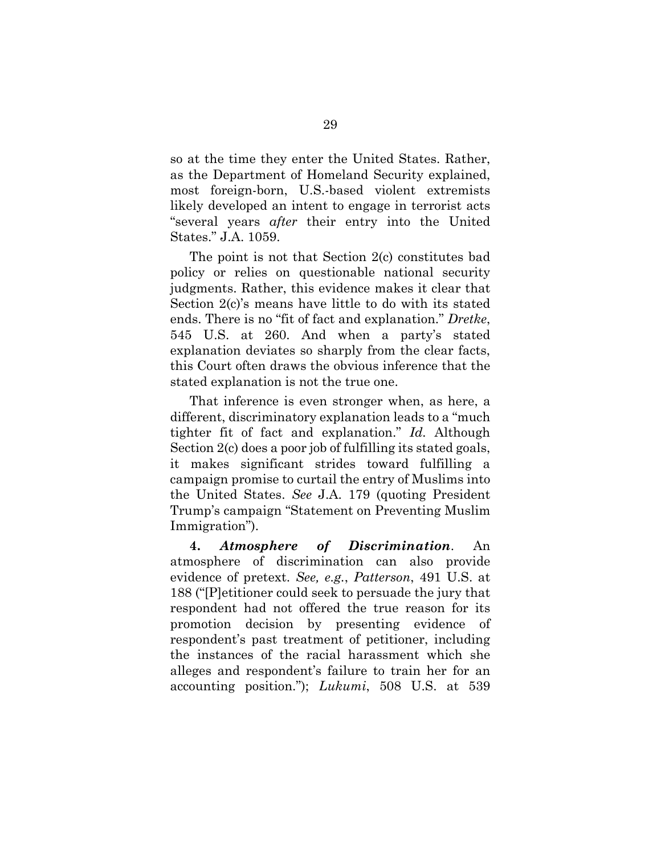so at the time they enter the United States. Rather, as the Department of Homeland Security explained, most foreign-born, U.S.-based violent extremists likely developed an intent to engage in terrorist acts "several years *after* their entry into the United States." J.A. 1059.

The point is not that Section 2(c) constitutes bad policy or relies on questionable national security judgments. Rather, this evidence makes it clear that Section 2(c)'s means have little to do with its stated ends. There is no "fit of fact and explanation." *Dretke*, 545 U.S. at 260. And when a party's stated explanation deviates so sharply from the clear facts, this Court often draws the obvious inference that the stated explanation is not the true one.

That inference is even stronger when, as here, a different, discriminatory explanation leads to a "much tighter fit of fact and explanation." *Id.* Although Section 2(c) does a poor job of fulfilling its stated goals, it makes significant strides toward fulfilling a campaign promise to curtail the entry of Muslims into the United States. *See* J.A. 179 (quoting President Trump's campaign "Statement on Preventing Muslim Immigration").

**4.** *Atmosphere of Discrimination*. An atmosphere of discrimination can also provide evidence of pretext. *See, e.g.*, *Patterson*, 491 U.S. at 188 ("[P]etitioner could seek to persuade the jury that respondent had not offered the true reason for its promotion decision by presenting evidence of respondent's past treatment of petitioner, including the instances of the racial harassment which she alleges and respondent's failure to train her for an accounting position."); *Lukumi*, 508 U.S. at 539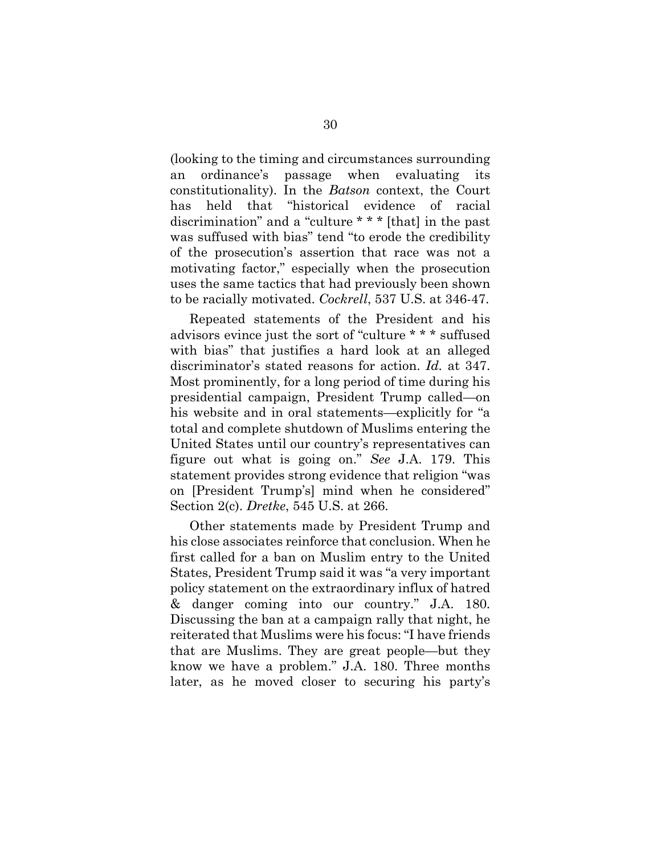(looking to the timing and circumstances surrounding an ordinance's passage when evaluating its constitutionality). In the *Batson* context, the Court has held that "historical evidence of racial discrimination" and a "culture \* \* \* [that] in the past was suffused with bias" tend "to erode the credibility of the prosecution's assertion that race was not a motivating factor," especially when the prosecution uses the same tactics that had previously been shown to be racially motivated. *Cockrell*, 537 U.S. at 346-47.

Repeated statements of the President and his advisors evince just the sort of "culture \* \* \* suffused with bias" that justifies a hard look at an alleged discriminator's stated reasons for action. *Id.* at 347. Most prominently, for a long period of time during his presidential campaign, President Trump called—on his website and in oral statements—explicitly for "a total and complete shutdown of Muslims entering the United States until our country's representatives can figure out what is going on." *See* J.A. 179. This statement provides strong evidence that religion "was on [President Trump's] mind when he considered" Section 2(c). *Dretke*, 545 U.S. at 266.

Other statements made by President Trump and his close associates reinforce that conclusion. When he first called for a ban on Muslim entry to the United States, President Trump said it was "a very important policy statement on the extraordinary influx of hatred & danger coming into our country." J.A. 180. Discussing the ban at a campaign rally that night, he reiterated that Muslims were his focus: "I have friends that are Muslims. They are great people—but they know we have a problem." J.A. 180. Three months later, as he moved closer to securing his party's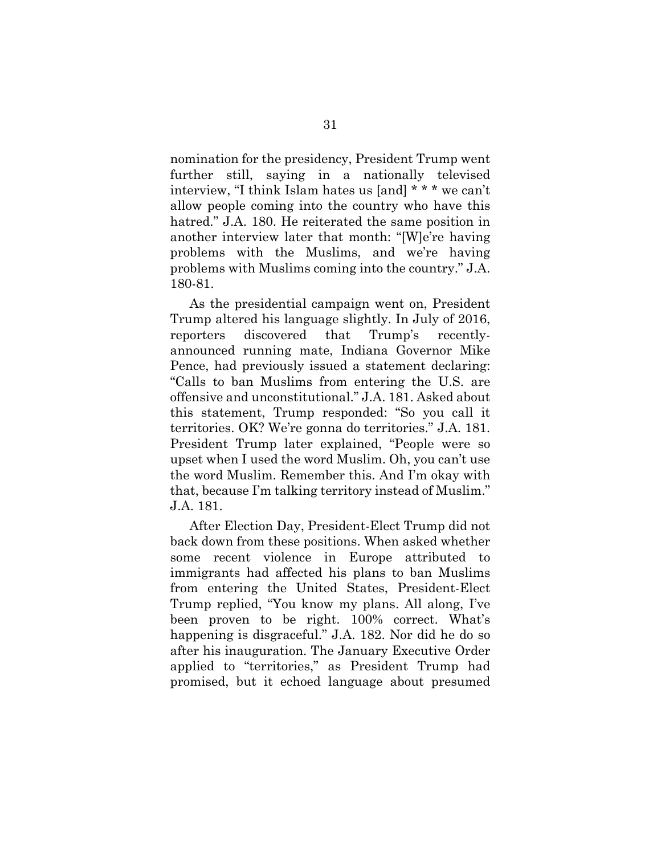nomination for the presidency, President Trump went further still, saying in a nationally televised interview, "I think Islam hates us [and] \* \* \* we can't allow people coming into the country who have this hatred." J.A. 180. He reiterated the same position in another interview later that month: "[W]e're having problems with the Muslims, and we're having problems with Muslims coming into the country." J.A. 180-81.

As the presidential campaign went on, President Trump altered his language slightly. In July of 2016, reporters discovered that Trump's recentlyannounced running mate, Indiana Governor Mike Pence, had previously issued a statement declaring: "Calls to ban Muslims from entering the U.S. are offensive and unconstitutional." J.A. 181. Asked about this statement, Trump responded: "So you call it territories. OK? We're gonna do territories." J.A. 181. President Trump later explained, "People were so upset when I used the word Muslim. Oh, you can't use the word Muslim. Remember this. And I'm okay with that, because I'm talking territory instead of Muslim." J.A. 181.

After Election Day, President-Elect Trump did not back down from these positions. When asked whether some recent violence in Europe attributed to immigrants had affected his plans to ban Muslims from entering the United States, President-Elect Trump replied, "You know my plans. All along, I've been proven to be right. 100% correct. What's happening is disgraceful." J.A. 182. Nor did he do so after his inauguration. The January Executive Order applied to "territories," as President Trump had promised, but it echoed language about presumed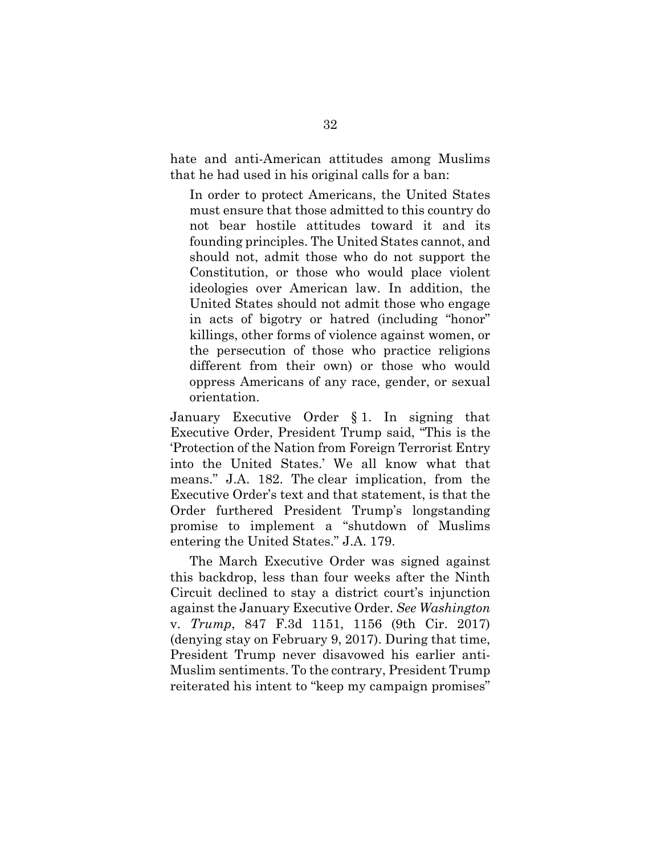hate and anti-American attitudes among Muslims that he had used in his original calls for a ban:

In order to protect Americans, the United States must ensure that those admitted to this country do not bear hostile attitudes toward it and its founding principles. The United States cannot, and should not, admit those who do not support the Constitution, or those who would place violent ideologies over American law. In addition, the United States should not admit those who engage in acts of bigotry or hatred (including "honor" killings, other forms of violence against women, or the persecution of those who practice religions different from their own) or those who would oppress Americans of any race, gender, or sexual orientation.

January Executive Order § 1. In signing that Executive Order, President Trump said, "This is the 'Protection of the Nation from Foreign Terrorist Entry into the United States.' We all know what that means." J.A. 182. The clear implication, from the Executive Order's text and that statement, is that the Order furthered President Trump's longstanding promise to implement a "shutdown of Muslims entering the United States." J.A. 179.

The March Executive Order was signed against this backdrop, less than four weeks after the Ninth Circuit declined to stay a district court's injunction against the January Executive Order. *See Washington*  v. *Trump*, 847 F.3d 1151, 1156 (9th Cir. 2017) (denying stay on February 9, 2017). During that time, President Trump never disavowed his earlier anti-Muslim sentiments. To the contrary, President Trump reiterated his intent to "keep my campaign promises"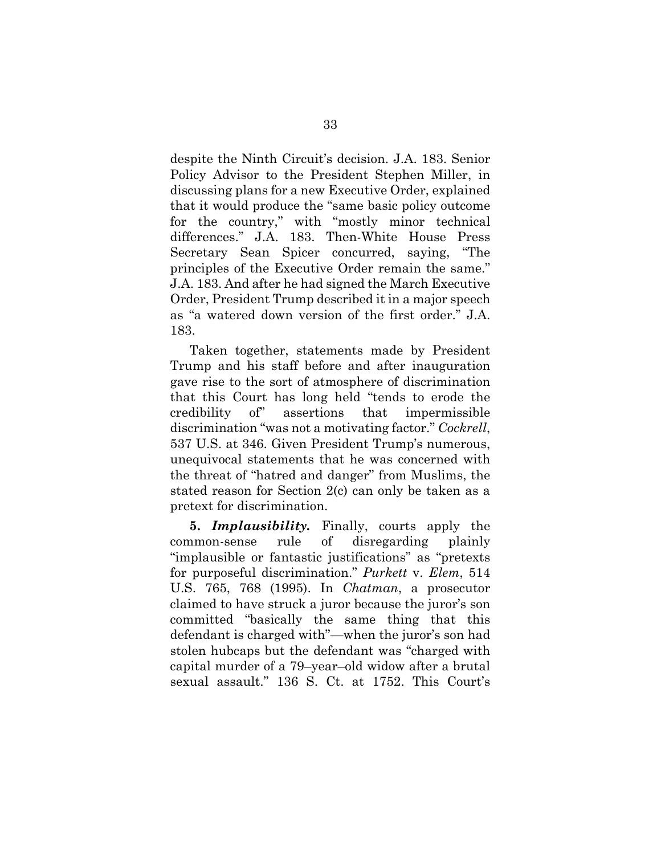despite the Ninth Circuit's decision. J.A. 183. Senior Policy Advisor to the President Stephen Miller, in discussing plans for a new Executive Order, explained that it would produce the "same basic policy outcome for the country," with "mostly minor technical differences." J.A. 183. Then-White House Press Secretary Sean Spicer concurred, saying, "The principles of the Executive Order remain the same." J.A. 183. And after he had signed the March Executive Order, President Trump described it in a major speech as "a watered down version of the first order." J.A. 183.

Taken together, statements made by President Trump and his staff before and after inauguration gave rise to the sort of atmosphere of discrimination that this Court has long held "tends to erode the credibility of" assertions that impermissible discrimination "was not a motivating factor." *Cockrell*, 537 U.S. at 346. Given President Trump's numerous, unequivocal statements that he was concerned with the threat of "hatred and danger" from Muslims, the stated reason for Section 2(c) can only be taken as a pretext for discrimination.

**5.** *Implausibility.* Finally, courts apply the common-sense rule of disregarding plainly "implausible or fantastic justifications" as "pretexts for purposeful discrimination." *Purkett* v. *Elem*, 514 U.S. 765, 768 (1995). In *Chatman*, a prosecutor claimed to have struck a juror because the juror's son committed "basically the same thing that this defendant is charged with"—when the juror's son had stolen hubcaps but the defendant was "charged with capital murder of a 79–year–old widow after a brutal sexual assault." 136 S. Ct. at 1752. This Court's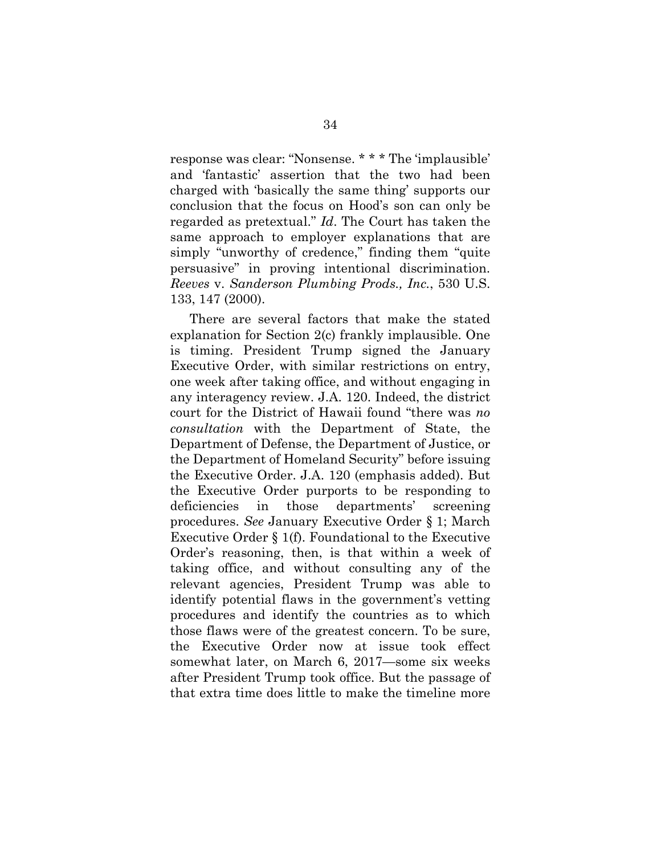response was clear: "Nonsense. \* \* \* The 'implausible' and 'fantastic' assertion that the two had been charged with 'basically the same thing' supports our conclusion that the focus on Hood's son can only be regarded as pretextual." *Id*. The Court has taken the same approach to employer explanations that are simply "unworthy of credence," finding them "quite persuasive" in proving intentional discrimination. *Reeves* v. *Sanderson Plumbing Prods., Inc.*, 530 U.S. 133, 147 (2000).

There are several factors that make the stated explanation for Section 2(c) frankly implausible. One is timing. President Trump signed the January Executive Order, with similar restrictions on entry, one week after taking office, and without engaging in any interagency review. J.A. 120. Indeed, the district court for the District of Hawaii found "there was *no consultation* with the Department of State, the Department of Defense, the Department of Justice, or the Department of Homeland Security" before issuing the Executive Order. J.A. 120 (emphasis added). But the Executive Order purports to be responding to deficiencies in those departments' screening procedures. *See* January Executive Order § 1; March Executive Order § 1(f). Foundational to the Executive Order's reasoning, then, is that within a week of taking office, and without consulting any of the relevant agencies, President Trump was able to identify potential flaws in the government's vetting procedures and identify the countries as to which those flaws were of the greatest concern. To be sure, the Executive Order now at issue took effect somewhat later, on March 6, 2017—some six weeks after President Trump took office. But the passage of that extra time does little to make the timeline more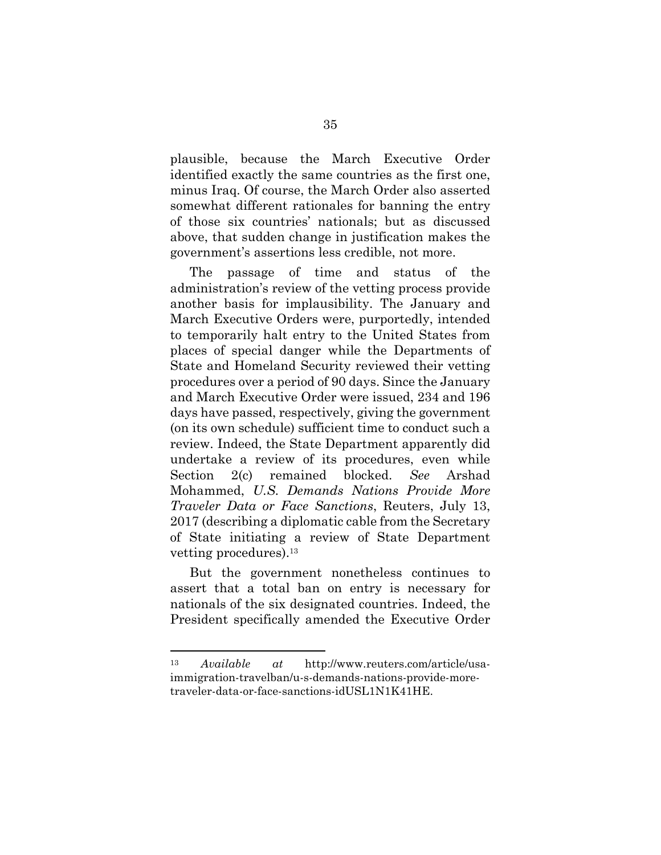plausible, because the March Executive Order identified exactly the same countries as the first one, minus Iraq. Of course, the March Order also asserted somewhat different rationales for banning the entry of those six countries' nationals; but as discussed above, that sudden change in justification makes the government's assertions less credible, not more.

The passage of time and status of the administration's review of the vetting process provide another basis for implausibility. The January and March Executive Orders were, purportedly, intended to temporarily halt entry to the United States from places of special danger while the Departments of State and Homeland Security reviewed their vetting procedures over a period of 90 days. Since the January and March Executive Order were issued, 234 and 196 days have passed, respectively, giving the government (on its own schedule) sufficient time to conduct such a review. Indeed, the State Department apparently did undertake a review of its procedures, even while Section 2(c) remained blocked. *See* Arshad Mohammed, *U.S. Demands Nations Provide More Traveler Data or Face Sanctions*, Reuters, July 13, 2017 (describing a diplomatic cable from the Secretary of State initiating a review of State Department vetting procedures).13

But the government nonetheless continues to assert that a total ban on entry is necessary for nationals of the six designated countries. Indeed, the President specifically amended the Executive Order

<sup>13</sup> *Available at* http://www.reuters.com/article/usaimmigration-travelban/u-s-demands-nations-provide-moretraveler-data-or-face-sanctions-idUSL1N1K41HE.